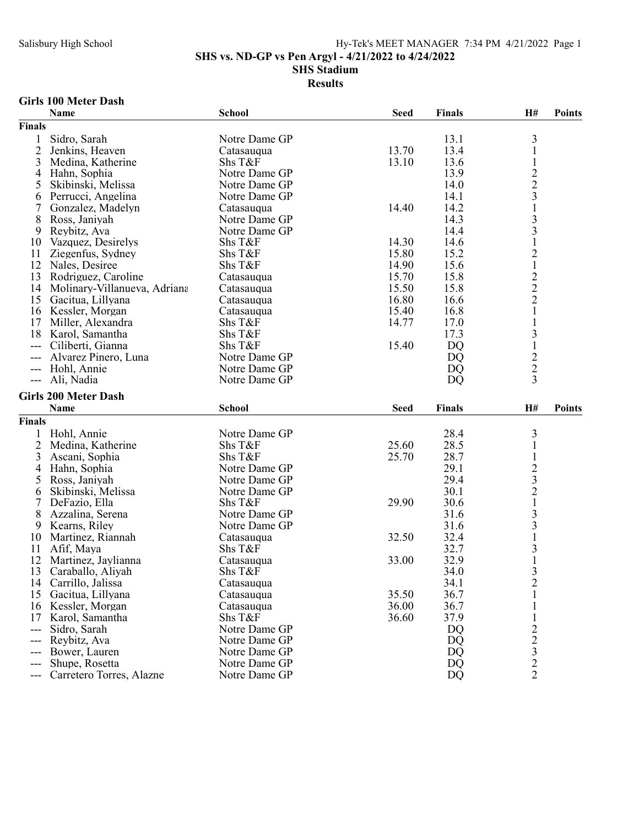SHS vs. ND-GP vs Pen Argyl - 4/21/2022 to 4/24/2022

SHS Stadium

### Results

### Girls 100 Meter Dash

|                | <b>Name</b>                  | <b>School</b> | <b>Seed</b> | <b>Finals</b> | H#                                                                | <b>Points</b> |
|----------------|------------------------------|---------------|-------------|---------------|-------------------------------------------------------------------|---------------|
| <b>Finals</b>  |                              |               |             |               |                                                                   |               |
| 1              | Sidro, Sarah                 | Notre Dame GP |             | 13.1          | 3                                                                 |               |
| $\overline{2}$ | Jenkins, Heaven              | Catasauqua    | 13.70       | 13.4          | $\mathbf{1}$                                                      |               |
| 3              | Medina, Katherine            | Shs T&F       | 13.10       | 13.6          | $\mathbf{1}$                                                      |               |
| 4              | Hahn, Sophia                 | Notre Dame GP |             | 13.9          |                                                                   |               |
| 5              | Skibinski, Melissa           | Notre Dame GP |             | 14.0          | $\frac{2}{3}$                                                     |               |
| 6              | Perrucci, Angelina           | Notre Dame GP |             | 14.1          |                                                                   |               |
| 7              | Gonzalez, Madelyn            | Catasauqua    | 14.40       | 14.2          | $\,1$                                                             |               |
| 8              | Ross, Janiyah                | Notre Dame GP |             | 14.3          |                                                                   |               |
| 9              | Reybitz, Ava                 | Notre Dame GP |             | 14.4          | $\frac{3}{3}$                                                     |               |
| 10             | Vazquez, Desirelys           | Shs T&F       | 14.30       | 14.6          |                                                                   |               |
| 11             | Ziegenfus, Sydney            | Shs T&F       | 15.80       | 15.2          | $\begin{smallmatrix}1\2\1\end{smallmatrix}$                       |               |
| 12             | Nales, Desiree               | Shs T&F       | 14.90       | 15.6          |                                                                   |               |
| 13             | Rodriguez, Caroline          | Catasauqua    | 15.70       | 15.8          |                                                                   |               |
| 14             | Molinary-Villanueva, Adriana | Catasauqua    | 15.50       | 15.8          | $\frac{2}{2}$                                                     |               |
| 15             | Gacitua, Lillyana            | Catasauqua    | 16.80       | 16.6          |                                                                   |               |
|                | 16 Kessler, Morgan           | Catasauqua    | 15.40       | 16.8          | $\mathbf{1}$                                                      |               |
| 17             | Miller, Alexandra            | Shs T&F       | 14.77       | 17.0          |                                                                   |               |
| 18             | Karol, Samantha              | Shs T&F       |             | 17.3          | 3                                                                 |               |
| ---            | Ciliberti, Gianna            | Shs T&F       | 15.40       | <b>DQ</b>     | $\,1$                                                             |               |
|                | Alvarez Pinero, Luna         | Notre Dame GP |             | <b>DQ</b>     |                                                                   |               |
| ---            | Hohl, Annie                  | Notre Dame GP |             | DQ            | $\frac{2}{2}$                                                     |               |
|                | --- Ali, Nadia               | Notre Dame GP |             | DQ            | $\overline{3}$                                                    |               |
|                |                              |               |             |               |                                                                   |               |
|                |                              |               |             |               |                                                                   |               |
|                | <b>Girls 200 Meter Dash</b>  |               |             |               |                                                                   |               |
|                | Name                         | <b>School</b> | <b>Seed</b> | <b>Finals</b> | H#                                                                | <b>Points</b> |
| <b>Finals</b>  |                              |               |             |               |                                                                   |               |
|                | Hohl, Annie                  | Notre Dame GP |             | 28.4          | 3                                                                 |               |
| $\overline{c}$ | Medina, Katherine            | Shs T&F       | 25.60       | 28.5          | 1                                                                 |               |
| 3              | Ascani, Sophia               | Shs T&F       | 25.70       | 28.7          |                                                                   |               |
| 4              | Hahn, Sophia                 | Notre Dame GP |             | 29.1          |                                                                   |               |
| 5              | Ross, Janiyah                | Notre Dame GP |             | 29.4          |                                                                   |               |
| 6              | Skibinski, Melissa           | Notre Dame GP |             | 30.1          |                                                                   |               |
| 7              | DeFazio, Ella                | Shs T&F       | 29.90       | 30.6          | $\frac{1}{2}$<br>$\frac{2}{2}$<br>$\frac{1}{1}$                   |               |
| 8              | Azzalina, Serena             | Notre Dame GP |             | 31.6          | 3                                                                 |               |
| 9              | Kearns, Riley                | Notre Dame GP |             | 31.6          |                                                                   |               |
| 10             | Martinez, Riannah            | Catasauqua    | 32.50       | 32.4          | $\frac{3}{1}$                                                     |               |
| 11             | Afif, Maya                   | Shs T&F       |             | 32.7          |                                                                   |               |
| 12             | Martinez, Jaylianna          | Catasauqua    | 33.00       | 32.9          | $\frac{3}{1}$                                                     |               |
| 13             | Caraballo, Aliyah            | Shs T&F       |             | 34.0          | 3                                                                 |               |
| 14             | Carrillo, Jalissa            | Catasauqua    |             | 34.1          |                                                                   |               |
| 15             | Gacitua, Lillyana            | Catasauqua    | 35.50       | 36.7          | $\overline{c}$                                                    |               |
| 16             | Kessler, Morgan              | Catasauqua    | 36.00       | 36.7          |                                                                   |               |
| 17             | Karol, Samantha              | Shs T&F       | 36.60       | 37.9          |                                                                   |               |
| $---$          | Sidro, Sarah                 | Notre Dame GP |             | DQ            |                                                                   |               |
| ---            | Reybitz, Ava                 | Notre Dame GP |             | DQ            |                                                                   |               |
| ---            | Bower, Lauren                | Notre Dame GP |             | DQ            |                                                                   |               |
| ---            | Shupe, Rosetta               | Notre Dame GP |             | DQ            | $\begin{array}{c} 2 \\ 2 \\ 3 \\ 2 \end{array}$<br>$\overline{2}$ |               |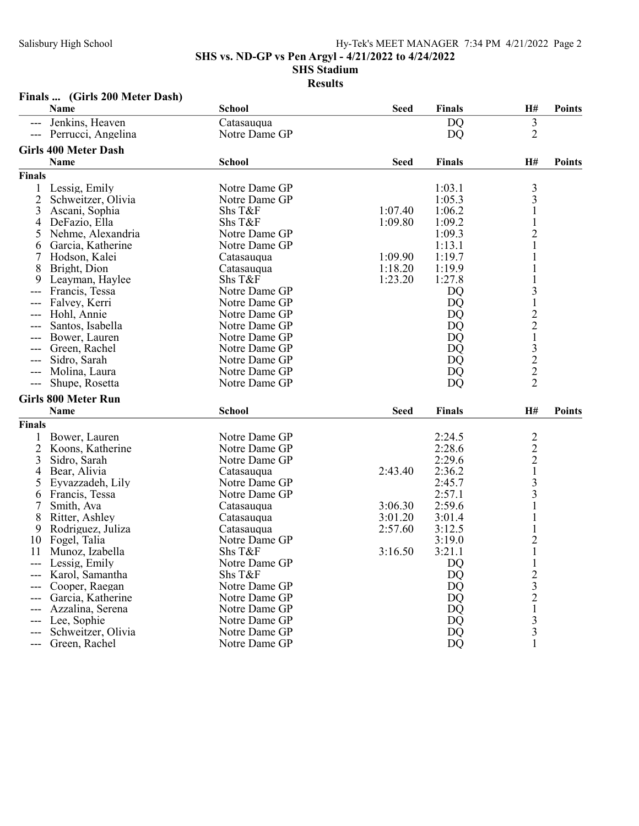SHS vs. ND-GP vs Pen Argyl - 4/21/2022 to 4/24/2022

SHS Stadium

Results

## Finals ... (Girls 200 Meter Dash)

|                     | Name                                | <b>School</b> | <b>Seed</b> | <b>Finals</b> | H#                                                                    | <b>Points</b> |
|---------------------|-------------------------------------|---------------|-------------|---------------|-----------------------------------------------------------------------|---------------|
|                     | Jenkins, Heaven                     | Catasauqua    |             | <b>DQ</b>     | $\mathfrak{Z}$                                                        |               |
| ---                 | Perrucci, Angelina                  | Notre Dame GP |             | <b>DQ</b>     | $\overline{2}$                                                        |               |
|                     | <b>Girls 400 Meter Dash</b>         |               |             |               |                                                                       |               |
|                     | <b>Name</b>                         | <b>School</b> | <b>Seed</b> | <b>Finals</b> | H#                                                                    | <b>Points</b> |
| <b>Finals</b>       |                                     |               |             |               |                                                                       |               |
|                     |                                     | Notre Dame GP |             | 1:03.1        |                                                                       |               |
| 1<br>$\overline{2}$ | Lessig, Emily<br>Schweitzer, Olivia | Notre Dame GP |             | 1:05.3        | $\frac{3}{3}$                                                         |               |
| 3                   |                                     | Shs T&F       | 1:07.40     | 1:06.2        |                                                                       |               |
|                     | Ascani, Sophia                      | Shs T&F       | 1:09.80     | 1:09.2        | $\mathbf{1}$                                                          |               |
| 4                   | DeFazio, Ella                       | Notre Dame GP |             |               | $\overline{c}$                                                        |               |
| 5                   | Nehme, Alexandria                   |               |             | 1:09.3        | $\mathbf{1}$                                                          |               |
| 6                   | Garcia, Katherine                   | Notre Dame GP | 1:09.90     | 1:13.1        |                                                                       |               |
| 7                   | Hodson, Kalei                       | Catasauqua    |             | 1:19.7        |                                                                       |               |
| 8                   | Bright, Dion                        | Catasauqua    | 1:18.20     | 1:19.9        |                                                                       |               |
| 9                   | Leayman, Haylee                     | Shs T&F       | 1:23.20     | 1:27.8        |                                                                       |               |
| ---                 | Francis, Tessa                      | Notre Dame GP |             | DQ            | 3                                                                     |               |
|                     | Falvey, Kerri                       | Notre Dame GP |             | DQ            |                                                                       |               |
|                     | Hohl, Annie                         | Notre Dame GP |             | <b>DQ</b>     | $\frac{1}{2}$ $\frac{2}{1}$ $\frac{3}{2}$ $\frac{2}{2}$ $\frac{2}{2}$ |               |
| ---                 | Santos, Isabella                    | Notre Dame GP |             | DQ            |                                                                       |               |
|                     | Bower, Lauren                       | Notre Dame GP |             | DQ            |                                                                       |               |
|                     | Green, Rachel                       | Notre Dame GP |             | <b>DQ</b>     |                                                                       |               |
| ---                 | Sidro, Sarah                        | Notre Dame GP |             | DQ            |                                                                       |               |
|                     | Molina, Laura                       | Notre Dame GP |             | <b>DQ</b>     |                                                                       |               |
| $---$               | Shupe, Rosetta                      | Notre Dame GP |             | DQ            |                                                                       |               |
|                     | <b>Girls 800 Meter Run</b>          |               |             |               |                                                                       |               |
|                     | <b>Name</b>                         | <b>School</b> | <b>Seed</b> | <b>Finals</b> | H#                                                                    | <b>Points</b> |
| <b>Finals</b>       |                                     |               |             |               |                                                                       |               |
| 1                   | Bower, Lauren                       | Notre Dame GP |             | 2:24.5        |                                                                       |               |
| 2                   | Koons, Katherine                    | Notre Dame GP |             | 2:28.6        |                                                                       |               |
| 3                   | Sidro, Sarah                        | Notre Dame GP |             | 2:29.6        | $\frac{2}{2}$ $\frac{2}{1}$ $\frac{1}{3}$                             |               |
| 4                   | Bear, Alivia                        | Catasauqua    | 2:43.40     | 2:36.2        |                                                                       |               |
| 5                   | Eyvazzadeh, Lily                    | Notre Dame GP |             | 2:45.7        |                                                                       |               |
| 6                   | Francis, Tessa                      | Notre Dame GP |             | 2:57.1        | 3                                                                     |               |
| 7                   | Smith, Ava                          | Catasauqua    | 3:06.30     | 2:59.6        |                                                                       |               |
| 8                   | Ritter, Ashley                      | Catasauqua    | 3:01.20     | 3:01.4        |                                                                       |               |
| 9                   | Rodriguez, Juliza                   | Catasauqua    | 2:57.60     | 3:12.5        | $\mathbf{1}$                                                          |               |
| 10                  | Fogel, Talia                        | Notre Dame GP |             | 3:19.0        |                                                                       |               |
| 11                  | Munoz, Izabella                     | Shs T&F       | 3:16.50     | 3:21.1        | $\frac{2}{1}$                                                         |               |
| ---                 | Lessig, Emily                       | Notre Dame GP |             | <b>DQ</b>     | $\mathbf 1$                                                           |               |
|                     | Karol, Samantha                     | Shs T&F       |             | DQ            |                                                                       |               |
|                     | Cooper, Raegan                      | Notre Dame GP |             | DQ            |                                                                       |               |
|                     | Garcia, Katherine                   | Notre Dame GP |             | <b>DQ</b>     | $2321$<br>$33$                                                        |               |
|                     | Azzalina, Serena                    | Notre Dame GP |             | <b>DQ</b>     |                                                                       |               |
| ---                 | Lee, Sophie                         | Notre Dame GP |             | DQ            |                                                                       |               |
| ---                 | Schweitzer, Olivia                  | Notre Dame GP |             | DQ            |                                                                       |               |
| ---                 | Green, Rachel                       | Notre Dame GP |             | DQ            |                                                                       |               |
|                     |                                     |               |             |               |                                                                       |               |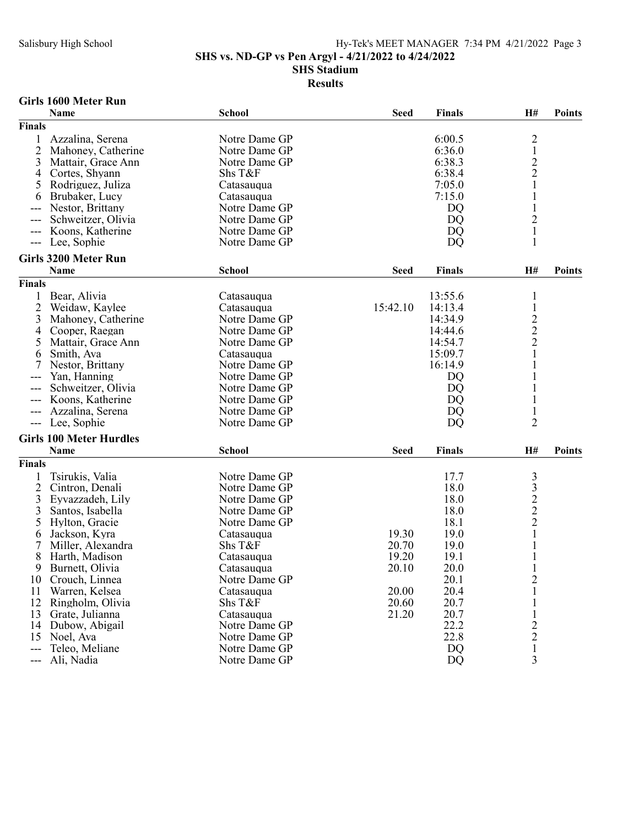SHS vs. ND-GP vs Pen Argyl - 4/21/2022 to 4/24/2022

#### SHS Stadium

Results

### Girls 1600 Meter Run

|                | Name                           | <b>School</b> | <b>Seed</b> | <b>Finals</b> | H#             | <b>Points</b> |
|----------------|--------------------------------|---------------|-------------|---------------|----------------|---------------|
| Finals         |                                |               |             |               |                |               |
|                | Azzalina, Serena               | Notre Dame GP |             | 6:00.5        |                |               |
| $\overline{2}$ | Mahoney, Catherine             | Notre Dame GP |             | 6:36.0        | $\frac{2}{1}$  |               |
| 3              | Mattair, Grace Ann             | Notre Dame GP |             | 6:38.3        |                |               |
| 4              | Cortes, Shyann                 | Shs T&F       |             | 6:38.4        | $\frac{2}{2}$  |               |
| 5              | Rodriguez, Juliza              | Catasauqua    |             | 7:05.0        |                |               |
| 6              | Brubaker, Lucy                 | Catasauqua    |             | 7:15.0        | 1              |               |
|                | Nestor, Brittany               | Notre Dame GP |             | DQ            | $\mathbf{1}$   |               |
|                | Schweitzer, Olivia             | Notre Dame GP |             | DQ            | $\overline{c}$ |               |
|                | Koons, Katherine               | Notre Dame GP |             | DQ            | $\mathbf 1$    |               |
| $---$          | Lee, Sophie                    | Notre Dame GP |             | DQ            | $\mathbf{1}$   |               |
|                | <b>Girls 3200 Meter Run</b>    |               |             |               |                |               |
|                | Name                           | <b>School</b> | <b>Seed</b> | <b>Finals</b> | H#             | <b>Points</b> |
|                |                                |               |             |               |                |               |
| Finals         |                                |               |             |               |                |               |
|                | Bear, Alivia                   | Catasauqua    |             | 13:55.6       | 1              |               |
| $\overline{2}$ | Weidaw, Kaylee                 | Catasauqua    | 15:42.10    | 14:13.4       | $\mathbf{1}$   |               |
| 3              | Mahoney, Catherine             | Notre Dame GP |             | 14:34.9       | $\frac{2}{2}$  |               |
| 4              | Cooper, Raegan                 | Notre Dame GP |             | 14:44.6       |                |               |
| 5              | Mattair, Grace Ann             | Notre Dame GP |             | 14:54.7       |                |               |
| 6              | Smith, Ava                     | Catasauqua    |             | 15:09.7       | $\mathbf{1}$   |               |
|                | Nestor, Brittany               | Notre Dame GP |             | 16:14.9       |                |               |
|                | Yan, Hanning                   | Notre Dame GP |             | DQ            |                |               |
|                | Schweitzer, Olivia             | Notre Dame GP |             | DQ            |                |               |
| ---            | Koons, Katherine               | Notre Dame GP |             | DQ            | $\mathbf{1}$   |               |
|                | Azzalina, Serena               | Notre Dame GP |             | DQ            | $\mathbf{1}$   |               |
| ---            | Lee, Sophie                    | Notre Dame GP |             | DQ            | $\overline{2}$ |               |
|                | <b>Girls 100 Meter Hurdles</b> |               |             |               |                |               |
|                | Name                           | <b>School</b> | <b>Seed</b> | <b>Finals</b> | H#             | <b>Points</b> |
| <b>Finals</b>  |                                |               |             |               |                |               |
|                | Tsirukis, Valia                | Notre Dame GP |             | 17.7          |                |               |
| $\overline{2}$ | Cintron, Denali                | Notre Dame GP |             | 18.0          |                |               |
| 3              | Eyvazzadeh, Lily               | Notre Dame GP |             | 18.0          |                |               |
| 3              | Santos, Isabella               | Notre Dame GP |             | 18.0          | 33222          |               |
| 5              | Hylton, Gracie                 | Notre Dame GP |             | 18.1          |                |               |
| 6              | Jackson, Kyra                  | Catasauqua    | 19.30       | 19.0          | $\mathbf{1}$   |               |
| 7              | Miller, Alexandra              | Shs T&F       | 20.70       | 19.0          | $\mathbf 1$    |               |
| 8              | Harth, Madison                 | Catasauqua    | 19.20       | 19.1          | $\mathbf 1$    |               |
| 9              | Burnett, Olivia                | Catasauqua    | 20.10       | 20.0          | $\mathbf{1}$   |               |
| 10             | Crouch, Linnea                 | Notre Dame GP |             | 20.1          | $\overline{c}$ |               |
| 11             | Warren, Kelsea                 | Catasauqua    | 20.00       | 20.4          | $\mathbf{1}$   |               |
| 12             | Ringholm, Olivia               | Shs T&F       | 20.60       | 20.7          | $\mathbf{1}$   |               |
|                |                                |               |             | 20.7          |                |               |
| 13             | Grate, Julianna                | Catasauqua    | 21.20       | 22.2          | $\,1$          |               |
| 14             | Dubow, Abigail                 | Notre Dame GP |             |               |                |               |
| 15             | Noel, Ava                      | Notre Dame GP |             | 22.8          | $\frac{2}{2}$  |               |
| ---            | Teleo, Meliane                 | Notre Dame GP |             | DQ            |                |               |
| ---            | Ali, Nadia                     | Notre Dame GP |             | <b>DQ</b>     | 3              |               |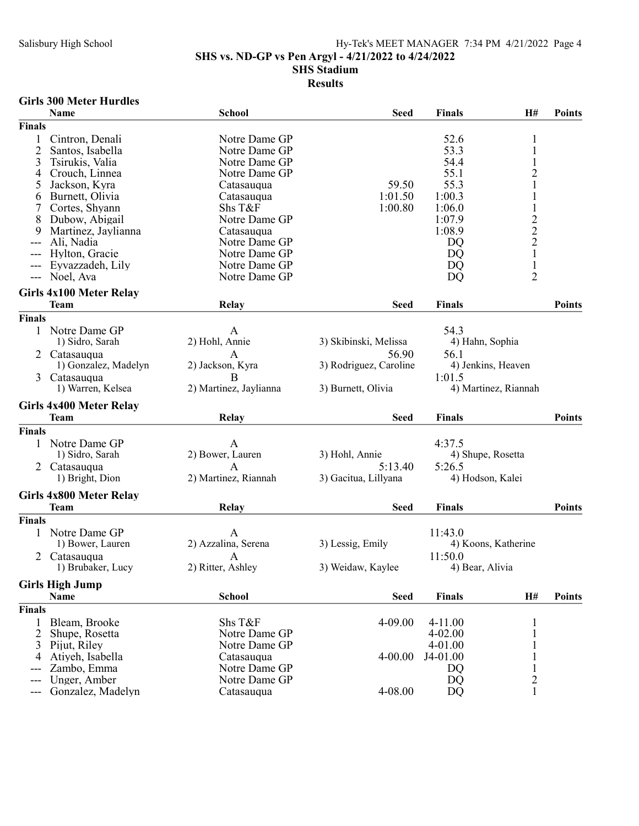SHS vs. ND-GP vs Pen Argyl - 4/21/2022 to 4/24/2022

SHS Stadium

### Results

### Girls 300 Meter Hurdles

|                | Name                              | <b>School</b>               | <b>Seed</b>            | <b>Finals</b>   | H#                                              | <b>Points</b> |
|----------------|-----------------------------------|-----------------------------|------------------------|-----------------|-------------------------------------------------|---------------|
| Finals         |                                   |                             |                        |                 |                                                 |               |
|                | Cintron, Denali                   | Notre Dame GP               |                        | 52.6            | 1                                               |               |
| $\overline{2}$ | Santos, Isabella                  | Notre Dame GP               |                        | 53.3            | $\mathbf{1}$                                    |               |
| 3              | Tsirukis, Valia                   | Notre Dame GP               |                        | 54.4            | $\,1$                                           |               |
| 4              | Crouch, Linnea                    | Notre Dame GP               |                        | 55.1            |                                                 |               |
| 5              | Jackson, Kyra                     | Catasauqua                  | 59.50                  | 55.3            | $\frac{2}{1}$                                   |               |
| 6              | Burnett, Olivia                   | Catasauqua                  | 1:01.50                | 1:00.3          | $\mathbf{1}$                                    |               |
|                | Cortes, Shyann                    | Shs T&F                     | 1:00.80                | 1:06.0          | $\,1$                                           |               |
| 8              | Dubow, Abigail                    | Notre Dame GP               |                        | 1:07.9          |                                                 |               |
| 9              | Martinez, Jaylianna               | Catasauqua                  |                        | 1:08.9          | $\begin{array}{c} 2 \\ 2 \\ 2 \\ 1 \end{array}$ |               |
| ---            | Ali, Nadia                        | Notre Dame GP               |                        | DQ              |                                                 |               |
|                | Hylton, Gracie                    | Notre Dame GP               |                        | DQ              |                                                 |               |
| ---            | Eyvazzadeh, Lily                  | Notre Dame GP               |                        | DQ              | $\,1$                                           |               |
| ---            | Noel, Ava                         | Notre Dame GP               |                        | DQ              | $\overline{2}$                                  |               |
|                | <b>Girls 4x100 Meter Relay</b>    |                             |                        |                 |                                                 |               |
|                | <b>Team</b>                       | Relay                       | <b>Seed</b>            | <b>Finals</b>   |                                                 | <b>Points</b> |
| Finals         |                                   |                             |                        |                 |                                                 |               |
| 1              | Notre Dame GP                     | $\mathbf{A}$                |                        | 54.3            |                                                 |               |
|                | 1) Sidro, Sarah                   | 2) Hohl, Annie              | 3) Skibinski, Melissa  | 4) Hahn, Sophia |                                                 |               |
| 2              | Catasauqua                        | A                           | 56.90                  | 56.1            |                                                 |               |
|                | 1) Gonzalez, Madelyn              | 2) Jackson, Kyra            | 3) Rodriguez, Caroline |                 | 4) Jenkins, Heaven                              |               |
| 3              | Catasauqua                        | B                           |                        | 1:01.5          |                                                 |               |
|                | 1) Warren, Kelsea                 | 2) Martinez, Jaylianna      | 3) Burnett, Olivia     |                 | 4) Martinez, Riannah                            |               |
|                | <b>Girls 4x400 Meter Relay</b>    |                             |                        |                 |                                                 |               |
|                |                                   |                             |                        |                 |                                                 |               |
|                | <b>Team</b>                       | Relay                       | <b>Seed</b>            | <b>Finals</b>   |                                                 | <b>Points</b> |
| Finals         |                                   |                             |                        |                 |                                                 |               |
| 1              | Notre Dame GP                     | A                           |                        | 4:37.5          |                                                 |               |
|                | 1) Sidro, Sarah                   | 2) Bower, Lauren            | 3) Hohl, Annie         |                 | 4) Shupe, Rosetta                               |               |
| 2              | Catasauqua                        | A                           | 5:13.40                | 5:26.5          |                                                 |               |
|                | 1) Bright, Dion                   | 2) Martinez, Riannah        | 3) Gacitua, Lillyana   |                 | 4) Hodson, Kalei                                |               |
|                | Girls 4x800 Meter Relay           |                             |                        |                 |                                                 |               |
|                | <b>Team</b>                       | Relay                       | <b>Seed</b>            | <b>Finals</b>   |                                                 | <b>Points</b> |
| <b>Finals</b>  |                                   |                             |                        |                 |                                                 |               |
|                | Notre Dame GP                     | A                           |                        | 11:43.0         |                                                 |               |
|                | 1) Bower, Lauren                  | 2) Azzalina, Serena         | 3) Lessig, Emily       |                 | 4) Koons, Katherine                             |               |
|                | Catasauqua                        | A                           |                        | 11:50.0         |                                                 |               |
|                | 1) Brubaker, Lucy                 | 2) Ritter, Ashley           | 3) Weidaw, Kaylee      | 4) Bear, Alivia |                                                 |               |
|                |                                   |                             |                        |                 |                                                 |               |
|                | <b>Girls High Jump</b><br>Name    | <b>School</b>               | <b>Seed</b>            | <b>Finals</b>   | H#                                              | <b>Points</b> |
| <b>Finals</b>  |                                   |                             |                        |                 |                                                 |               |
| 1              | Bleam, Brooke                     | Shs T&F                     | 4-09.00                | $4 - 11.00$     |                                                 |               |
| 2              | Shupe, Rosetta                    | Notre Dame GP               |                        | $4 - 02.00$     |                                                 |               |
| 3              | Pijut, Riley                      | Notre Dame GP               |                        | 4-01.00         |                                                 |               |
| 4              | Atiyeh, Isabella                  | Catasauqua                  | 4-00.00                | J4-01.00        |                                                 |               |
|                | Zambo, Emma                       | Notre Dame GP               |                        | DQ              | $\,1\,$                                         |               |
|                | Unger, Amber<br>Gonzalez, Madelyn | Notre Dame GP<br>Catasauqua | 4-08.00                | DQ<br>DQ        | $\overline{c}$<br>$\mathbf{1}$                  |               |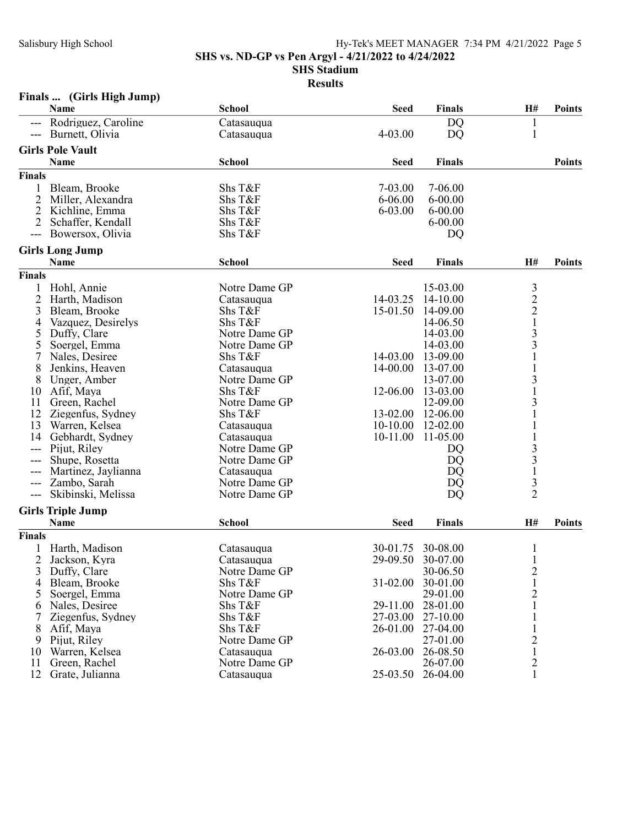SHS vs. ND-GP vs Pen Argyl - 4/21/2022 to 4/24/2022

SHS Stadium

|                     | Finals  (Girls High Jump)       |                             |             |                      |                                            |               |
|---------------------|---------------------------------|-----------------------------|-------------|----------------------|--------------------------------------------|---------------|
|                     | <b>Name</b>                     | <b>School</b>               | <b>Seed</b> | <b>Finals</b>        | H#                                         | <b>Points</b> |
| $---$               | Rodriguez, Caroline             | Catasauqua                  |             | DQ                   | $\mathbf{1}$                               |               |
| $\qquad \qquad - -$ | Burnett, Olivia                 | Catasauqua                  | 4-03.00     | DQ                   | $\mathbf{1}$                               |               |
|                     | <b>Girls Pole Vault</b>         |                             |             |                      |                                            |               |
|                     | Name                            | <b>School</b>               | <b>Seed</b> | <b>Finals</b>        |                                            | <b>Points</b> |
| <b>Finals</b>       |                                 |                             |             |                      |                                            |               |
| 1                   | Bleam, Brooke                   | Shs T&F                     | 7-03.00     | 7-06.00              |                                            |               |
| $\overline{2}$      | Miller, Alexandra               | Shs T&F                     | 6-06.00     | $6 - 00.00$          |                                            |               |
| $\overline{2}$      | Kichline, Emma                  | Shs T&F                     | 6-03.00     | $6 - 00.00$          |                                            |               |
| 2                   | Schaffer, Kendall               | Shs T&F                     |             | $6 - 00.00$          |                                            |               |
| $---$               | Bowersox, Olivia                | Shs T&F                     |             | DQ                   |                                            |               |
|                     | <b>Girls Long Jump</b>          |                             |             |                      |                                            |               |
|                     | Name                            | <b>School</b>               | <b>Seed</b> | <b>Finals</b>        | H#                                         | <b>Points</b> |
| <b>Finals</b>       |                                 |                             |             |                      |                                            |               |
|                     |                                 | Notre Dame GP               |             | 15-03.00             |                                            |               |
| $\overline{2}$      | Hohl, Annie                     |                             | 14-03.25    | 14-10.00             | $\mathfrak{Z}$                             |               |
|                     | Harth, Madison                  | Catasauqua<br>Shs T&F       |             | 14-09.00             | $\frac{2}{2}$                              |               |
| 3                   | Bleam, Brooke                   |                             | 15-01.50    |                      | $\mathbf 1$                                |               |
| 4                   | Vazquez, Desirelys              | Shs T&F<br>Notre Dame GP    |             | 14-06.50             | $\overline{\mathbf{3}}$                    |               |
| 5                   | Duffy, Clare                    | Notre Dame GP               |             | 14-03.00<br>14-03.00 | $\overline{\mathbf{3}}$                    |               |
| 5                   | Soergel, Emma<br>Nales, Desiree |                             |             |                      |                                            |               |
|                     |                                 | Shs T&F                     | 14-03.00    | 13-09.00             | $\,1\,$<br>$\mathbf{1}$                    |               |
| 8                   | Jenkins, Heaven                 | Catasauqua<br>Notre Dame GP | 14-00.00    | 13-07.00             |                                            |               |
| 8                   | Unger, Amber                    |                             |             | 13-07.00             | 3<br>$\mathbf{1}$                          |               |
| 10                  | Afif, Maya                      | Shs T&F                     | 12-06.00    | 13-03.00             |                                            |               |
| 11                  | Green, Rachel                   | Notre Dame GP               |             | 12-09.00             | 3                                          |               |
| 12                  | Ziegenfus, Sydney               | Shs T&F                     | 13-02.00    | 12-06.00             | $\mathbf 1$                                |               |
| 13                  | Warren, Kelsea                  | Catasauqua                  | 10-10.00    | 12-02.00             |                                            |               |
| 14                  | Gebhardt, Sydney                | Catasauqua                  | 10-11.00    | 11-05.00             |                                            |               |
| ---                 | Pijut, Riley                    | Notre Dame GP               |             | DQ                   | 3                                          |               |
| ---                 | Shupe, Rosetta                  | Notre Dame GP               |             | DQ                   | $\overline{\mathbf{3}}$                    |               |
|                     | Martinez, Jaylianna             | Catasauqua                  |             | DQ                   | $\frac{1}{3}$                              |               |
|                     | Zambo, Sarah                    | Notre Dame GP               |             | DQ                   |                                            |               |
| ---                 | Skibinski, Melissa              | Notre Dame GP               |             | DQ                   | $\overline{2}$                             |               |
|                     | <b>Girls Triple Jump</b>        |                             |             |                      |                                            |               |
|                     | Name                            | <b>School</b>               | <b>Seed</b> | <b>Finals</b>        | H#                                         | <b>Points</b> |
| <b>Finals</b>       |                                 |                             |             |                      |                                            |               |
| $\mathbf{1}$        | Harth, Madison                  | Catasauqua                  | 30-01.75    | 30-08.00             | $\mathbf{1}$                               |               |
| 2                   | Jackson, Kyra                   | Catasauqua                  | 29-09.50    | 30-07.00             |                                            |               |
| 3                   | Duffy, Clare                    | Notre Dame GP               |             | 30-06.50             | $\begin{array}{c} 2 \\ 1 \\ 2 \end{array}$ |               |
| 4                   | Bleam, Brooke                   | Shs T&F                     | 31-02.00    | 30-01.00             |                                            |               |
| 5                   | Soergel, Emma                   | Notre Dame GP               |             | 29-01.00             |                                            |               |
| 6                   | Nales, Desiree                  | Shs T&F                     | 29-11.00    | 28-01.00             |                                            |               |
| 7                   | Ziegenfus, Sydney               | Shs T&F                     | 27-03.00    | 27-10.00             | 1                                          |               |
| 8                   | Afif, Maya                      | Shs T&F                     | 26-01.00    | 27-04.00             | $\mathbf{1}$                               |               |
| 9                   | Pijut, Riley                    | Notre Dame GP               |             | 27-01.00             | $\overline{c}$                             |               |
| 10                  | Warren, Kelsea                  | Catasauqua                  | 26-03.00    | 26-08.50             | $\mathbf 1$                                |               |
| 11                  | Green, Rachel                   | Notre Dame GP               |             | 26-07.00             | $\frac{2}{1}$                              |               |
| 12                  | Grate, Julianna                 | Catasauqua                  | 25-03.50    | 26-04.00             |                                            |               |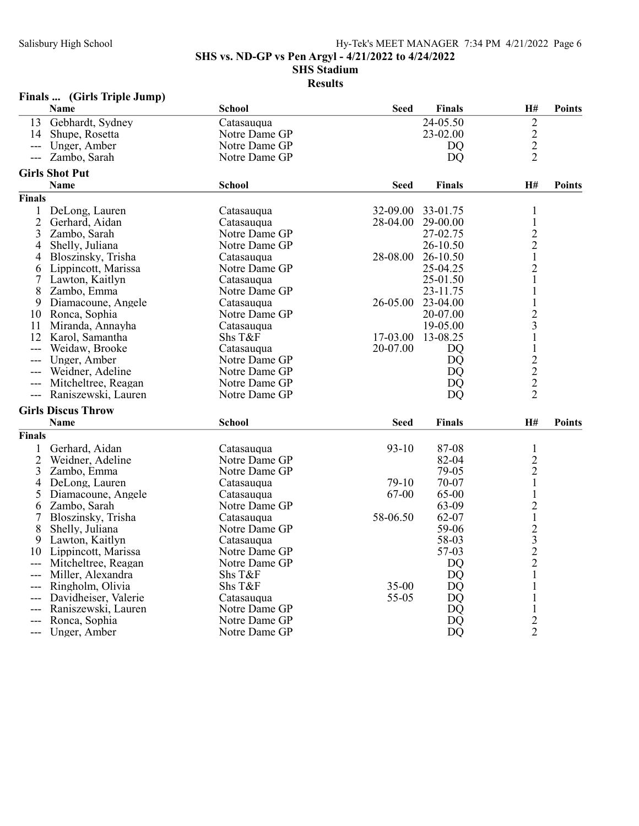SHS vs. ND-GP vs Pen Argyl - 4/21/2022 to 4/24/2022

SHS Stadium

| Finals |  |  | (Girls Triple Jump) |
|--------|--|--|---------------------|
|--------|--|--|---------------------|

|                | Name                      | <b>School</b> | <b>Seed</b> | <b>Finals</b>  | H#                                         | <b>Points</b> |
|----------------|---------------------------|---------------|-------------|----------------|--------------------------------------------|---------------|
| 13             | Gebhardt, Sydney          | Catasauqua    |             | 24-05.50       | $\overline{c}$                             |               |
| 14             | Shupe, Rosetta            | Notre Dame GP |             | 23-02.00       |                                            |               |
| $\overline{a}$ | Unger, Amber              | Notre Dame GP |             | DO             | $\frac{2}{2}$                              |               |
| $---$          | Zambo, Sarah              | Notre Dame GP |             | <b>DQ</b>      | $\overline{2}$                             |               |
|                | <b>Girls Shot Put</b>     |               |             |                |                                            |               |
|                | <b>Name</b>               | <b>School</b> | <b>Seed</b> | <b>Finals</b>  | H#                                         | <b>Points</b> |
| <b>Finals</b>  |                           |               |             |                |                                            |               |
| 1              | DeLong, Lauren            | Catasauqua    | 32-09.00    | 33-01.75       | 1                                          |               |
| $\overline{2}$ | Gerhard, Aidan            | Catasauqua    | 28-04.00    | 29-00.00       | $\mathbf 1$                                |               |
| 3              | Zambo, Sarah              | Notre Dame GP |             | 27-02.75       |                                            |               |
| 4              | Shelly, Juliana           | Notre Dame GP |             | 26-10.50       | $\frac{2}{2}$                              |               |
| 4              | Bloszinsky, Trisha        | Catasauqua    | 28-08.00    | 26-10.50       | $\mathbf{1}$                               |               |
| 6              | Lippincott, Marissa       | Notre Dame GP |             | 25-04.25       | $\overline{2}$                             |               |
| 7              | Lawton, Kaitlyn           | Catasaugua    |             | 25-01.50       | 1                                          |               |
| 8              | Zambo, Emma               | Notre Dame GP |             | 23-11.75       | $\mathbf{1}$                               |               |
| 9              |                           |               | 26-05.00    | 23-04.00       | $\mathbf{1}$                               |               |
|                | Diamacoune, Angele        | Catasauqua    |             |                | $\overline{2}$                             |               |
| 10             | Ronca, Sophia             | Notre Dame GP |             | 20-07.00       | $\overline{3}$                             |               |
| 11             | Miranda, Annayha          | Catasauqua    |             | 19-05.00       |                                            |               |
| 12             | Karol, Samantha           | Shs T&F       | 17-03.00    | 13-08.25       | $\mathbf{1}$                               |               |
| $\overline{a}$ | Weidaw, Brooke            | Catasauqua    | 20-07.00    | DQ             | $\mathbf{1}$                               |               |
| $---$          | Unger, Amber              | Notre Dame GP |             | D <sub>O</sub> | $\overline{c}$                             |               |
|                | Weidner, Adeline          | Notre Dame GP |             | DO             | $\frac{2}{2}$                              |               |
| $---$          | Mitcheltree, Reagan       | Notre Dame GP |             | <b>DQ</b>      |                                            |               |
| $---$          | Raniszewski, Lauren       | Notre Dame GP |             | DQ             | $\overline{2}$                             |               |
|                | <b>Girls Discus Throw</b> |               |             |                |                                            |               |
|                | <b>Name</b>               | <b>School</b> | <b>Seed</b> | <b>Finals</b>  | H#                                         | <b>Points</b> |
| <b>Finals</b>  |                           |               |             |                |                                            |               |
| $\mathbf{1}$   | Gerhard, Aidan            | Catasauqua    | $93-10$     | 87-08          | $\mathbf{1}$                               |               |
| $\overline{2}$ | Weidner, Adeline          | Notre Dame GP |             | 82-04          | $\overline{c}$                             |               |
| 3              | Zambo, Emma               | Notre Dame GP |             | 79-05          | $\overline{2}$                             |               |
| 4              | DeLong, Lauren            | Catasauqua    | 79-10       | 70-07          | $\mathbf{1}$                               |               |
| 5              | Diamacoune, Angele        | Catasauqua    | 67-00       | 65-00          | $\mathbf{1}$                               |               |
| 6              | Zambo, Sarah              | Notre Dame GP |             | 63-09          |                                            |               |
| 7              | Bloszinsky, Trisha        | Catasauqua    | 58-06.50    | 62-07          | $\frac{2}{1}$                              |               |
| 8              | Shelly, Juliana           | Notre Dame GP |             | 59-06          |                                            |               |
| 9              | Lawton, Kaitlyn           | Catasauqua    |             | 58-03          | $\begin{array}{c} 2 \\ 3 \\ 2 \end{array}$ |               |
| 10             | Lippincott, Marissa       | Notre Dame GP |             | 57-03          |                                            |               |
| ---            | Mitcheltree, Reagan       | Notre Dame GP |             | <b>DQ</b>      |                                            |               |
| ---            | Miller, Alexandra         | Shs T&F       |             | D <sub>O</sub> | 1                                          |               |
| ---            | Ringholm, Olivia          | Shs T&F       | $35 - 00$   | <b>DQ</b>      |                                            |               |
|                | Davidheiser, Valerie      | Catasauqua    | 55-05       | <b>DQ</b>      |                                            |               |
|                | Raniszewski, Lauren       | Notre Dame GP |             | DQ             | $\mathbf{1}$                               |               |
| ---            | Ronca, Sophia             | Notre Dame GP |             | <b>DQ</b>      |                                            |               |
| ---            | Unger, Amber              | Notre Dame GP |             | <b>DQ</b>      | $\frac{2}{2}$                              |               |
|                |                           |               |             |                |                                            |               |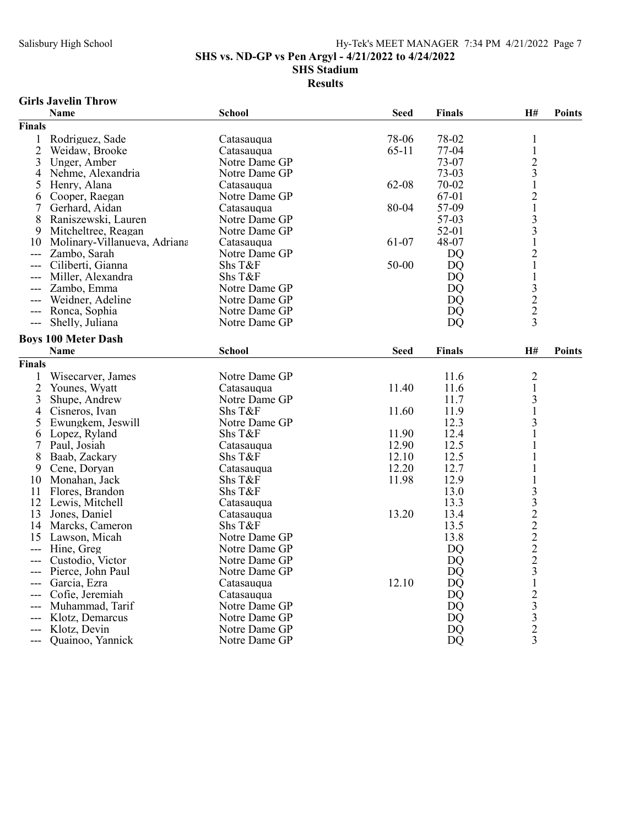SHS vs. ND-GP vs Pen Argyl - 4/21/2022 to 4/24/2022

SHS Stadium

### Results

## Girls Javelin Throw

|                | Name                         | <b>School</b> | <b>Seed</b> | <b>Finals</b>  | H#                                              | <b>Points</b> |
|----------------|------------------------------|---------------|-------------|----------------|-------------------------------------------------|---------------|
| <b>Finals</b>  |                              |               |             |                |                                                 |               |
| $\mathbf{1}$   | Rodriguez, Sade              | Catasauqua    | 78-06       | 78-02          | 1                                               |               |
| $\overline{2}$ | Weidaw, Brooke               | Catasauqua    | $65-11$     | 77-04          | $\mathbf 1$                                     |               |
| 3              | Unger, Amber                 | Notre Dame GP |             | 73-07          | $\overline{c}$                                  |               |
| 4              | Nehme, Alexandria            | Notre Dame GP |             | $73-03$        | $\overline{\mathbf{3}}$                         |               |
| 5              | Henry, Alana                 | Catasauqua    | 62-08       | 70-02          | $\mathbf{1}$                                    |               |
| 6              | Cooper, Raegan               | Notre Dame GP |             | 67-01          | $\overline{c}$                                  |               |
| 7              | Gerhard, Aidan               | Catasauqua    | 80-04       | 57-09          | $\mathbf 1$                                     |               |
| 8              | Raniszewski, Lauren          | Notre Dame GP |             | 57-03          | $\frac{3}{3}$                                   |               |
| 9              | Mitcheltree, Reagan          | Notre Dame GP |             | 52-01          |                                                 |               |
| 10             | Molinary-Villanueva, Adriana | Catasauqua    | 61-07       | 48-07          | $\mathbf{1}$                                    |               |
| ---            | Zambo, Sarah                 | Notre Dame GP |             | <b>DQ</b>      | $\overline{c}$                                  |               |
|                | Ciliberti, Gianna            | Shs T&F       | 50-00       | <b>DO</b>      | $\mathbf{1}$                                    |               |
|                | Miller, Alexandra            | Shs T&F       |             | <b>DQ</b>      | $\mathbf{1}$                                    |               |
|                | Zambo, Emma                  | Notre Dame GP |             | DO             |                                                 |               |
|                | Weidner, Adeline             | Notre Dame GP |             | <b>DQ</b>      | $\frac{3}{2}$                                   |               |
| $---$          | Ronca, Sophia                | Notre Dame GP |             | D <sub>O</sub> |                                                 |               |
| ---            | Shelly, Juliana              | Notre Dame GP |             | <b>DO</b>      | $\overline{3}$                                  |               |
|                | <b>Boys 100 Meter Dash</b>   |               |             |                |                                                 |               |
|                | <b>Name</b>                  | School        | <b>Seed</b> | <b>Finals</b>  | H#                                              | <b>Points</b> |
| <b>Finals</b>  |                              |               |             |                |                                                 |               |
| $\mathbf{1}$   | Wisecarver, James            | Notre Dame GP |             | 11.6           | $\overline{c}$                                  |               |
| $\overline{c}$ | Younes, Wyatt                | Catasauqua    | 11.40       | 11.6           | 1                                               |               |
| 3              | Shupe, Andrew                | Notre Dame GP |             | 11.7           | 3                                               |               |
| 4              | Cisneros, Ivan               | Shs T&F       | 11.60       | 11.9           | $\mathbf{1}$                                    |               |
| 5              | Ewungkem, Jeswill            | Notre Dame GP |             | 12.3           | 3                                               |               |
| 6              | Lopez, Ryland                | Shs T&F       | 11.90       | 12.4           | 1                                               |               |
| 7              | Paul, Josiah                 | Catasauqua    | 12.90       | 12.5           | 1                                               |               |
| 8              | Baab, Zackary                | Shs T&F       | 12.10       | 12.5           | 1                                               |               |
| 9              | Cene, Doryan                 | Catasauqua    | 12.20       | 12.7           | 1                                               |               |
| 10             | Monahan, Jack                | Shs T&F       | 11.98       | 12.9           | 1                                               |               |
| 11             | Flores, Brandon              | Shs T&F       |             | 13.0           |                                                 |               |
| 12             | Lewis, Mitchell              | Catasauqua    |             | 13.3           |                                                 |               |
| 13             | Jones, Daniel                | Catasauqua    | 13.20       | 13.4           |                                                 |               |
| 14             | Marcks, Cameron              | Shs T&F       |             | 13.5           |                                                 |               |
| 15             | Lawson, Micah                | Notre Dame GP |             | 13.8           |                                                 |               |
| ---            | Hine, Greg                   | Notre Dame GP |             | <b>DQ</b>      |                                                 |               |
|                | Custodio, Victor             | Notre Dame GP |             | <b>DQ</b>      |                                                 |               |
|                | Pierce, John Paul            | Notre Dame GP |             | <b>DQ</b>      |                                                 |               |
|                | Garcia, Ezra                 | Catasauqua    | 12.10       | <b>DQ</b>      | 332222231                                       |               |
|                | Cofie, Jeremiah              | Catasaugua    |             | <b>DO</b>      |                                                 |               |
|                | Muhammad, Tarif              | Notre Dame GP |             | DO             | $\begin{array}{c} 2 \\ 3 \\ 3 \\ 2 \end{array}$ |               |
|                | Klotz, Demarcus              | Notre Dame GP |             | DQ             |                                                 |               |
| ---            | Klotz, Devin                 | Notre Dame GP |             | DQ             |                                                 |               |
|                | Quainoo, Yannick             | Notre Dame GP |             | <b>DQ</b>      | 3                                               |               |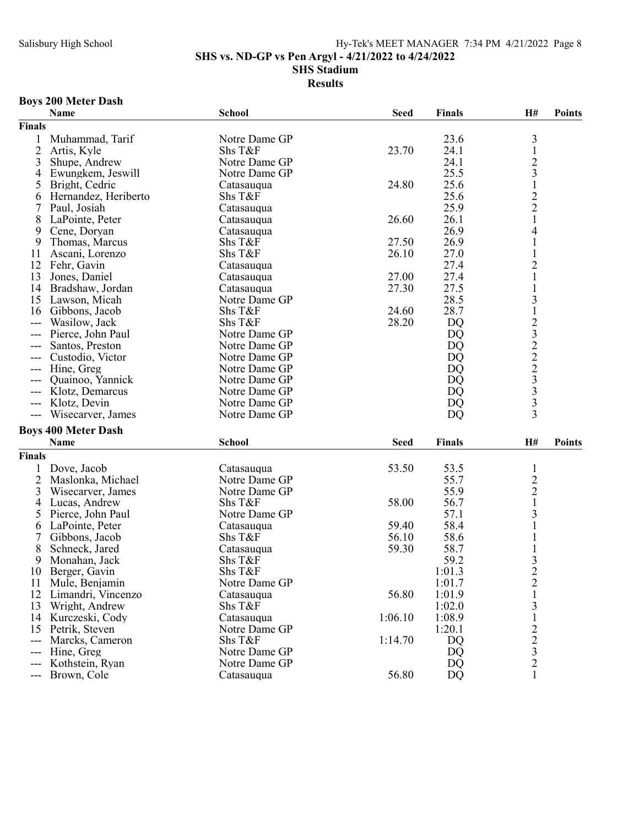SHS vs. ND-GP vs Pen Argyl - 4/21/2022 to 4/24/2022

SHS Stadium

Results

## Boys 200 Meter Dash

|                            | Name                       | <b>School</b> | <b>Seed</b> | <b>Finals</b> | H#                                              | <b>Points</b> |
|----------------------------|----------------------------|---------------|-------------|---------------|-------------------------------------------------|---------------|
| <b>Finals</b>              |                            |               |             |               |                                                 |               |
|                            | Muhammad, Tarif            | Notre Dame GP |             | 23.6          | 3                                               |               |
| $\overline{2}$             | Artis, Kyle                | Shs T&F       | 23.70       | 24.1          | $\,1$                                           |               |
| 3                          | Shupe, Andrew              | Notre Dame GP |             | 24.1          |                                                 |               |
| 4                          | Ewungkem, Jeswill          | Notre Dame GP |             | 25.5          |                                                 |               |
| 5                          | Bright, Cedric             | Catasauqua    | 24.80       | 25.6          |                                                 |               |
| 6                          | Hernandez, Heriberto       | Shs T&F       |             | 25.6          |                                                 |               |
|                            | Paul, Josiah               | Catasauqua    |             | 25.9          | $23122$<br>$221$                                |               |
| 8                          | LaPointe, Peter            | Catasauqua    | 26.60       | 26.1          |                                                 |               |
| 9                          | Cene, Doryan               | Catasauqua    |             | 26.9          | 4                                               |               |
| 9                          | Thomas, Marcus             | Shs T&F       | 27.50       | 26.9          | $\mathbf 1$                                     |               |
| 11                         | Ascani, Lorenzo            | Shs T&F       | 26.10       | 27.0          |                                                 |               |
| 12                         | Fehr, Gavin                | Catasauqua    |             | 27.4          | $\overline{c}$                                  |               |
| 13                         | Jones, Daniel              | Catasauqua    | 27.00       | 27.4          | 1                                               |               |
| 14                         | Bradshaw, Jordan           | Catasauqua    | 27.30       | 27.5          | $\mathbf{1}$                                    |               |
| 15                         | Lawson, Micah              | Notre Dame GP |             | 28.5          | 3                                               |               |
| 16                         | Gibbons, Jacob             | Shs T&F       | 24.60       | 28.7          |                                                 |               |
| $---$                      | Wasilow, Jack              | Shs T&F       | 28.20       | <b>DQ</b>     |                                                 |               |
| ---                        | Pierce, John Paul          | Notre Dame GP |             | <b>DQ</b>     |                                                 |               |
| ---                        | Santos, Preston            | Notre Dame GP |             | <b>DQ</b>     |                                                 |               |
|                            | Custodio, Victor           | Notre Dame GP |             | <b>DQ</b>     |                                                 |               |
| ---                        | Hine, Greg                 | Notre Dame GP |             | <b>DQ</b>     | 12322233                                        |               |
|                            | Quainoo, Yannick           | Notre Dame GP |             | DQ            |                                                 |               |
| ---                        | Klotz, Demarcus            | Notre Dame GP |             | <b>DQ</b>     |                                                 |               |
| $---$                      |                            | Notre Dame GP |             | <b>DQ</b>     |                                                 |               |
| $---$                      | Klotz, Devin               | Notre Dame GP |             | <b>DQ</b>     | $\overline{3}$                                  |               |
| $\qquad \qquad \text{---}$ | Wisecarver, James          |               |             |               |                                                 |               |
|                            | <b>Boys 400 Meter Dash</b> |               |             |               |                                                 |               |
|                            | Name                       | <b>School</b> | <b>Seed</b> | <b>Finals</b> | H#                                              | <b>Points</b> |
| <b>Finals</b>              |                            |               |             |               |                                                 |               |
|                            | Dove, Jacob                | Catasauqua    | 53.50       | 53.5          | $\mathbf{1}$                                    |               |
| 2                          | Maslonka, Michael          | Notre Dame GP |             | 55.7          |                                                 |               |
| 3                          | Wisecarver, James          | Notre Dame GP |             | 55.9          | $\frac{2}{1}$                                   |               |
| 4                          | Lucas, Andrew              | Shs T&F       | 58.00       | 56.7          |                                                 |               |
| 5                          | Pierce, John Paul          | Notre Dame GP |             | 57.1          | 3                                               |               |
| 6                          | LaPointe, Peter            | Catasauqua    | 59.40       | 58.4          |                                                 |               |
| 7                          | Gibbons, Jacob             | Shs T&F       | 56.10       | 58.6          |                                                 |               |
| 8                          | Schneck, Jared             | Catasauqua    | 59.30       | 58.7          |                                                 |               |
| 9                          | Monahan, Jack              | Shs T&F       |             | 59.2          | 3                                               |               |
| 10                         | Berger, Gavin              | Shs T&F       |             | 1:01.3        | $\overline{2}$                                  |               |
| 11                         | Mule, Benjamin             | Notre Dame GP |             | 1:01.7        |                                                 |               |
| 12                         | Limandri, Vincenzo         | Catasauqua    | 56.80       | 1:01.9        | $\frac{2}{1}$                                   |               |
| 13                         | Wright, Andrew             | Shs T&F       |             | 1:02.0        | 3                                               |               |
| 14                         | Kurczeski, Cody            | Catasauqua    | 1:06.10     | 1:08.9        | $\mathbf{1}$                                    |               |
| 15                         | Petrik, Steven             | Notre Dame GP |             | 1:20.1        |                                                 |               |
| $---$                      | Marcks, Cameron            | Shs T&F       | 1:14.70     | DQ            |                                                 |               |
| ---                        | Hine, Greg                 | Notre Dame GP |             | DQ            | $\begin{array}{c} 2 \\ 2 \\ 3 \\ 2 \end{array}$ |               |
|                            | Kothstein, Ryan            | Notre Dame GP |             | DQ            |                                                 |               |
| ---                        | Brown, Cole                | Catasauqua    | 56.80       | DQ            | $\mathbf{1}$                                    |               |
|                            |                            |               |             |               |                                                 |               |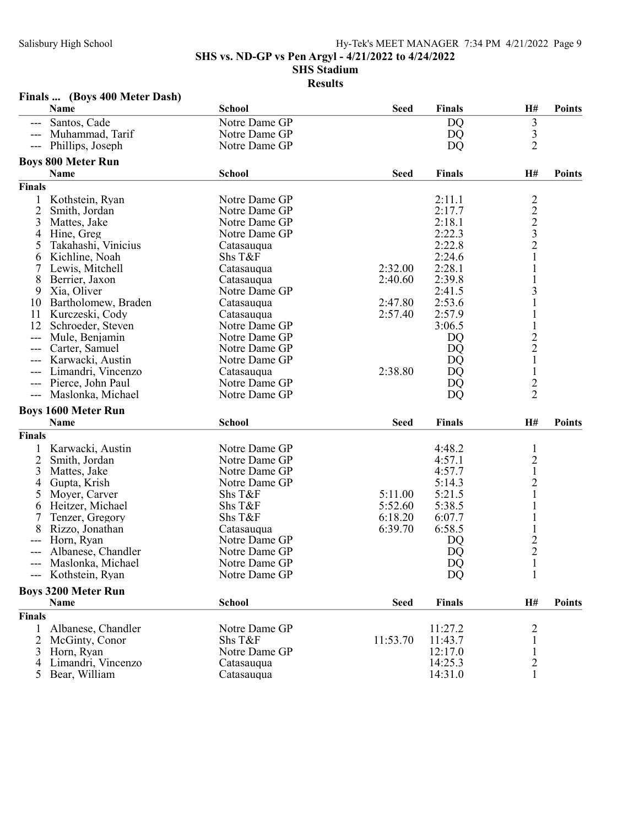SHS vs. ND-GP vs Pen Argyl - 4/21/2022 to 4/24/2022

SHS Stadium

### Results

## Finals ... (Boys 400 Meter Dash)

|                | Name                       | <b>School</b> | <b>Seed</b> | <b>Finals</b> | H#                                        | <b>Points</b> |
|----------------|----------------------------|---------------|-------------|---------------|-------------------------------------------|---------------|
|                | Santos, Cade               | Notre Dame GP |             | DQ            | 3                                         |               |
|                | Muhammad, Tarif            | Notre Dame GP |             | DQ            |                                           |               |
|                | Phillips, Joseph           | Notre Dame GP |             | <b>DQ</b>     | $\frac{3}{2}$                             |               |
|                | <b>Boys 800 Meter Run</b>  |               |             |               |                                           |               |
|                | Name                       | <b>School</b> | <b>Seed</b> | <b>Finals</b> | H#                                        | <b>Points</b> |
| <b>Finals</b>  |                            |               |             |               |                                           |               |
| 1              | Kothstein, Ryan            | Notre Dame GP |             | 2:11.1        |                                           |               |
| $\overline{c}$ | Smith, Jordan              | Notre Dame GP |             | 2:17.7        | $\frac{2}{2}$ $\frac{2}{3}$ $\frac{3}{2}$ |               |
| 3              | Mattes, Jake               | Notre Dame GP |             | 2:18.1        |                                           |               |
| 4              | Hine, Greg                 | Notre Dame GP |             | 2:22.3        |                                           |               |
| 5              | Takahashi, Vinicius        | Catasauqua    |             | 2:22.8        |                                           |               |
| 6              | Kichline, Noah             | Shs T&F       |             | 2:24.6        | $\mathbf 1$                               |               |
| 7              | Lewis, Mitchell            | Catasauqua    | 2:32.00     | 2:28.1        |                                           |               |
| 8              | Berrier, Jaxon             | Catasauqua    | 2:40.60     | 2:39.8        |                                           |               |
| 9              | Xia, Oliver                | Notre Dame GP |             | 2:41.5        | 3                                         |               |
| 10             | Bartholomew, Braden        | Catasauqua    | 2:47.80     | 2:53.6        |                                           |               |
| 11             | Kurczeski, Cody            | Catasauqua    | 2:57.40     | 2:57.9        |                                           |               |
| 12             | Schroeder, Steven          | Notre Dame GP |             | 3:06.5        | $\,1\,$                                   |               |
| $---$          | Mule, Benjamin             | Notre Dame GP |             | DQ            |                                           |               |
| $---$          | Carter, Samuel             | Notre Dame GP |             | DQ            | $\frac{2}{2}$                             |               |
|                | Karwacki, Austin           | Notre Dame GP |             | DQ            | $\mathbf{1}$                              |               |
|                | Limandri, Vincenzo         | Catasauqua    | 2:38.80     | <b>DQ</b>     | $\mathbf{1}$                              |               |
|                | Pierce, John Paul          | Notre Dame GP |             | <b>DQ</b>     | $\overline{c}$                            |               |
| $---$          | Maslonka, Michael          | Notre Dame GP |             | DQ            | $\overline{2}$                            |               |
|                |                            |               |             |               |                                           |               |
|                | <b>Boys 1600 Meter Run</b> |               |             |               |                                           |               |
|                | Name                       | <b>School</b> | <b>Seed</b> | <b>Finals</b> | H#                                        | <b>Points</b> |
| <b>Finals</b>  |                            |               |             |               |                                           |               |
| $\mathbf{1}$   | Karwacki, Austin           | Notre Dame GP |             | 4:48.2        | $\mathbf{1}$                              |               |
| 2              | Smith, Jordan              | Notre Dame GP |             | 4:57.1        | $\overline{c}$                            |               |
| 3              | Mattes, Jake               | Notre Dame GP |             | 4:57.7        | $\mathbf 1$                               |               |
| 4              | Gupta, Krish               | Notre Dame GP |             | 5:14.3        | $\overline{2}$                            |               |
| 5              | Moyer, Carver              | Shs T&F       | 5:11.00     | 5:21.5        | $\mathbf{1}$                              |               |
| 6              | Heitzer, Michael           | Shs T&F       | 5:52.60     | 5:38.5        |                                           |               |
| 7              | Tenzer, Gregory            | Shs T&F       | 6:18.20     | 6:07.7        |                                           |               |
| 8              | Rizzo, Jonathan            | Catasauqua    | 6:39.70     | 6:58.5        | $\mathbf{1}$                              |               |
|                | Horn, Ryan                 | Notre Dame GP |             | DQ            | $\frac{2}{2}$                             |               |
|                | Albanese, Chandler         | Notre Dame GP |             | DQ            |                                           |               |
| ---            | Maslonka, Michael          | Notre Dame GP |             | <b>DQ</b>     | $\mathbf{1}$                              |               |
|                | --- Kothstein, Ryan        | Notre Dame GP |             | DQ            | $\mathbf{1}$                              |               |
|                | <b>Boys 3200 Meter Run</b> |               |             |               |                                           |               |
|                | Name                       | <b>School</b> | <b>Seed</b> | <b>Finals</b> | H#                                        | Points        |
| Finals         |                            |               |             |               |                                           |               |
| 1              | Albanese, Chandler         | Notre Dame GP |             | 11:27.2       | $\overline{c}$                            |               |
| 2              | McGinty, Conor             | Shs T&F       | 11:53.70    | 11:43.7       | $\mathbf{1}$                              |               |
| 3              | Horn, Ryan                 | Notre Dame GP |             | 12:17.0       | $\mathbf{1}$                              |               |
| 4              | Limandri, Vincenzo         | Catasauqua    |             | 14:25.3       | $\overline{c}$                            |               |
|                | 5 Bear, William            | Catasauqua    |             | 14:31.0       | 1                                         |               |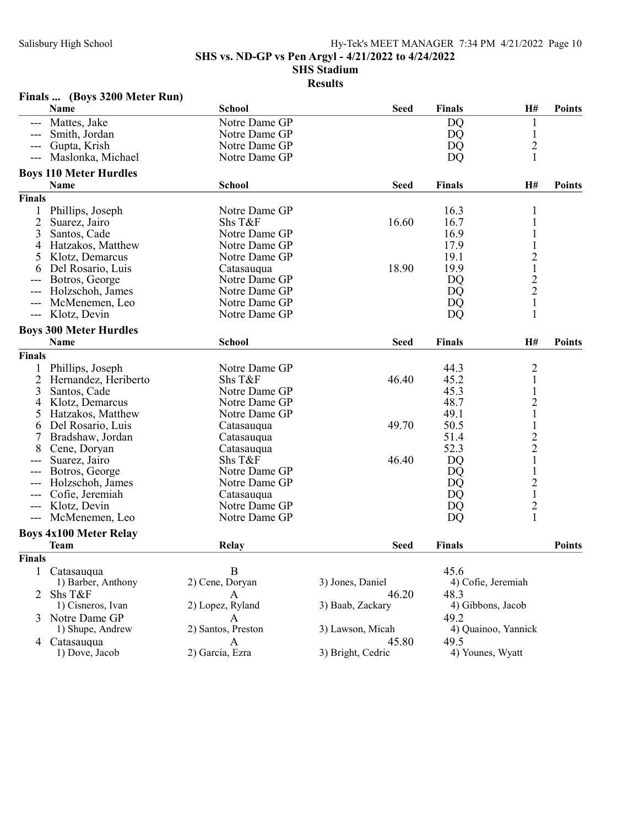SHS vs. ND-GP vs Pen Argyl - 4/21/2022 to 4/24/2022

#### SHS Stadium

|                | Name                          | <b>School</b>      | <b>Seed</b>       | <b>Finals</b>      | H#                      | <b>Points</b> |
|----------------|-------------------------------|--------------------|-------------------|--------------------|-------------------------|---------------|
|                | Mattes, Jake                  | Notre Dame GP      |                   | DQ                 |                         |               |
|                | Smith, Jordan                 | Notre Dame GP      |                   | DQ                 | $\mathbf{1}$            |               |
|                | Gupta, Krish                  | Notre Dame GP      |                   | <b>DQ</b>          | $\overline{c}$          |               |
| ---            | Maslonka, Michael             | Notre Dame GP      |                   | <b>DQ</b>          | $\mathbf{1}$            |               |
|                | <b>Boys 110 Meter Hurdles</b> |                    |                   |                    |                         |               |
|                | Name                          | <b>School</b>      | <b>Seed</b>       | <b>Finals</b>      | H#                      | <b>Points</b> |
| Finals         |                               |                    |                   |                    |                         |               |
| 1              | Phillips, Joseph              | Notre Dame GP      |                   | 16.3               |                         |               |
| $\overline{2}$ | Suarez, Jairo                 | Shs T&F            | 16.60             | 16.7               |                         |               |
| 3              | Santos, Cade                  | Notre Dame GP      |                   | 16.9               |                         |               |
| 4              | Hatzakos, Matthew             | Notre Dame GP      |                   | 17.9               |                         |               |
| Ć              | Klotz, Demarcus               | Notre Dame GP      |                   | 19.1               | $\overline{c}$          |               |
| 6              | Del Rosario, Luis             | Catasauqua         | 18.90             | 19.9               | $\mathbf{1}$            |               |
|                | Botros, George                | Notre Dame GP      |                   | <b>DQ</b>          |                         |               |
| ---            | Holzschoh, James              | Notre Dame GP      |                   | DQ                 | $\frac{2}{2}$           |               |
| ---            | McMenemen, Leo                | Notre Dame GP      |                   | DQ                 | $\mathbf{1}$            |               |
| ---            | Klotz, Devin                  | Notre Dame GP      |                   | DQ                 | $\mathbf{1}$            |               |
|                | <b>Boys 300 Meter Hurdles</b> |                    |                   |                    |                         |               |
|                | Name                          | <b>School</b>      | <b>Seed</b>       | Finals             | H#                      | <b>Points</b> |
| Finals         |                               |                    |                   |                    |                         |               |
| 1              | Phillips, Joseph              | Notre Dame GP      |                   | 44.3               | $\overline{\mathbf{c}}$ |               |
| $\overline{2}$ | Hernandez, Heriberto          | Shs T&F            | 46.40             | 45.2               | $\mathbf{1}$            |               |
| 3              | Santos, Cade                  | Notre Dame GP      |                   | 45.3               | 1                       |               |
| 4              | Klotz, Demarcus               | Notre Dame GP      |                   | 48.7               | $\overline{2}$          |               |
| 5              | Hatzakos, Matthew             | Notre Dame GP      |                   | 49.1               | $\mathbf 1$             |               |
| 6              | Del Rosario, Luis             | Catasauqua         | 49.70             | 50.5               | $\mathbf 1$             |               |
| 7              | Bradshaw, Jordan              | Catasauqua         |                   | 51.4               |                         |               |
| 8              | Cene, Doryan                  | Catasauqua         |                   | 52.3               | $\frac{2}{2}$           |               |
| ---            | Suarez, Jairo                 | Shs T&F            | 46.40             | <b>DQ</b>          | $\mathbf{1}$            |               |
|                | Botros, George                | Notre Dame GP      |                   | <b>DQ</b>          | $\mathbf{1}$            |               |
|                | Holzschoh, James              | Notre Dame GP      |                   | <b>DQ</b>          | $\overline{c}$          |               |
| ---            | Cofie, Jeremiah               | Catasauqua         |                   | DQ                 | $\,1$                   |               |
| ---            | Klotz, Devin                  | Notre Dame GP      |                   | DQ                 | $\overline{c}$          |               |
| $---$          | McMenemen, Leo                | Notre Dame GP      |                   | DQ                 | $\mathbf{1}$            |               |
|                | <b>Boys 4x100 Meter Relay</b> |                    |                   |                    |                         |               |
|                | <b>Team</b>                   | Relay              | <b>Seed</b>       | <b>Finals</b>      |                         | <b>Points</b> |
| <b>Finals</b>  |                               |                    |                   |                    |                         |               |
|                | 1 Catasauqua                  | $\, {\bf B}$       |                   | 45.6               |                         |               |
|                | 1) Barber, Anthony            | 2) Cene, Doryan    | 3) Jones, Daniel  | 4) Cofie, Jeremiah |                         |               |
| 2              | Shs T&F                       | A                  | 46.20             | 48.3               |                         |               |
|                | 1) Cisneros, Ivan             | 2) Lopez, Ryland   | 3) Baab, Zackary  | 4) Gibbons, Jacob  |                         |               |
| 3              | Notre Dame GP                 | A                  |                   | 49.2               |                         |               |
|                | 1) Shupe, Andrew              | 2) Santos, Preston | 3) Lawson, Micah  |                    | 4) Quainoo, Yannick     |               |
|                | 4 Catasauqua                  | A                  | 45.80             | 49.5               |                         |               |
|                | 1) Dove, Jacob                | 2) Garcia, Ezra    | 3) Bright, Cedric | 4) Younes, Wyatt   |                         |               |
|                |                               |                    |                   |                    |                         |               |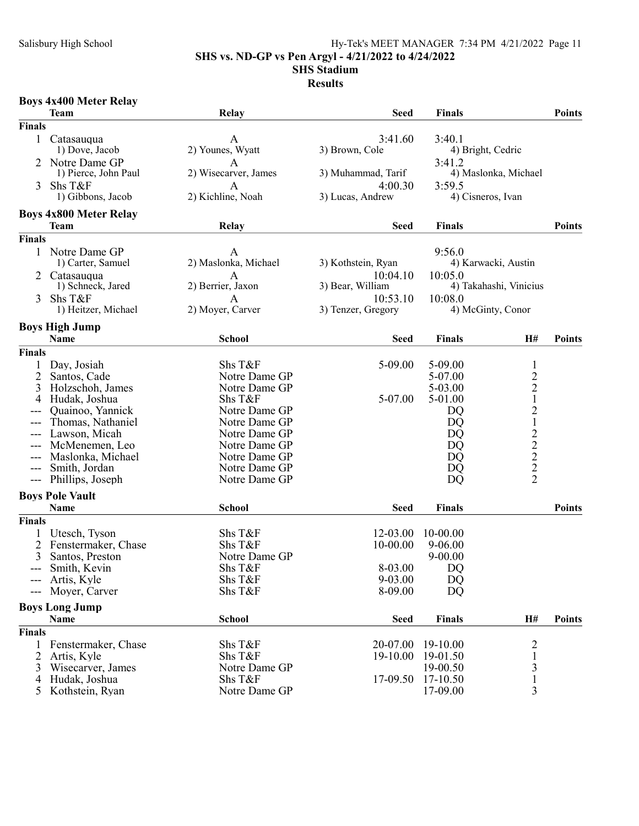### Salisbury High School Hy-Tek's MEET MANAGER 7:34 PM 4/21/2022 Page 11 SHS vs. ND-GP vs Pen Argyl - 4/21/2022 to 4/24/2022

# SHS Stadium

|               | <b>Boys 4x400 Meter Relay</b>      |                          |                    |                          |                                               |               |
|---------------|------------------------------------|--------------------------|--------------------|--------------------------|-----------------------------------------------|---------------|
|               | Team                               | Relay                    | <b>Seed</b>        | <b>Finals</b>            |                                               | <b>Points</b> |
| <b>Finals</b> |                                    |                          |                    |                          |                                               |               |
| $\mathbf{1}$  | Catasauqua                         | A                        | 3:41.60            | 3:40.1                   |                                               |               |
|               | 1) Dove, Jacob                     | 2) Younes, Wyatt         | 3) Brown, Cole     | 4) Bright, Cedric        |                                               |               |
|               | Notre Dame GP                      | Α                        |                    | 3:41.2                   |                                               |               |
|               | 1) Pierce, John Paul               | 2) Wisecarver, James     | 3) Muhammad, Tarif |                          | 4) Maslonka, Michael                          |               |
| 3             | Shs T&F                            | A                        | 4:00.30            | 3:59.5                   |                                               |               |
|               | 1) Gibbons, Jacob                  | 2) Kichline, Noah        | 3) Lucas, Andrew   | 4) Cisneros, Ivan        |                                               |               |
|               | <b>Boys 4x800 Meter Relay</b>      |                          |                    |                          |                                               |               |
|               | Team                               | Relay                    | <b>Seed</b>        | <b>Finals</b>            |                                               | <b>Points</b> |
| Finals        |                                    |                          |                    |                          |                                               |               |
| $\mathbf{1}$  | Notre Dame GP                      | А                        |                    | 9:56.0                   |                                               |               |
|               | 1) Carter, Samuel                  | 2) Maslonka, Michael     | 3) Kothstein, Ryan |                          | 4) Karwacki, Austin                           |               |
| 2             | Catasauqua                         | A                        | 10:04.10           | 10:05.0                  |                                               |               |
|               | 1) Schneck, Jared                  | 2) Berrier, Jaxon        | 3) Bear, William   |                          | 4) Takahashi, Vinicius                        |               |
| 3             | Shs T&F                            | A                        | 10:53.10           | 10:08.0                  |                                               |               |
|               | 1) Heitzer, Michael                | 2) Moyer, Carver         | 3) Tenzer, Gregory |                          | 4) McGinty, Conor                             |               |
|               | <b>Boys High Jump</b>              |                          |                    |                          |                                               |               |
|               | Name                               | <b>School</b>            | <b>Seed</b>        | <b>Finals</b>            | H#                                            | <b>Points</b> |
| <b>Finals</b> |                                    |                          |                    |                          |                                               |               |
| 1             | Day, Josiah                        | Shs T&F                  | 5-09.00            | 5-09.00                  | $\mathbf{1}$                                  |               |
|               | Santos, Cade                       | Notre Dame GP            |                    | 5-07.00                  |                                               |               |
| 3             | Holzschoh, James                   | Notre Dame GP            |                    | 5-03.00                  | $\begin{smallmatrix}2\\2\\1\end{smallmatrix}$ |               |
| 4             | Hudak, Joshua                      | Shs T&F                  | 5-07.00            | 5-01.00                  |                                               |               |
| ---           | Quainoo, Yannick                   | Notre Dame GP            |                    | DQ                       | 2122222                                       |               |
| ---           | Thomas, Nathaniel                  | Notre Dame GP            |                    | DQ                       |                                               |               |
| ---           | Lawson, Micah                      | Notre Dame GP            |                    | DQ                       |                                               |               |
| ---           | McMenemen, Leo                     | Notre Dame GP            |                    | DQ                       |                                               |               |
|               | Maslonka, Michael                  | Notre Dame GP            |                    | DQ                       |                                               |               |
| ---           | Smith, Jordan                      | Notre Dame GP            |                    | DQ                       |                                               |               |
| ---           | Phillips, Joseph                   | Notre Dame GP            |                    | DQ                       |                                               |               |
|               | <b>Boys Pole Vault</b>             |                          |                    |                          |                                               |               |
|               | Name                               | <b>School</b>            | <b>Seed</b>        | <b>Finals</b>            |                                               | <b>Points</b> |
| Finals        |                                    |                          |                    |                          |                                               |               |
|               | Utesch, Tyson                      | Shs T&F                  | 12-03.00           | 10-00.00                 |                                               |               |
| 2             | Fenstermaker, Chase                | Shs T&F                  | 10-00.00           | $9 - 06.00$              |                                               |               |
| 3             | Santos, Preston<br>Smith, Kevin    | Notre Dame GP<br>Shs T&F | 8-03.00            | $9 - 00.00$<br><b>DQ</b> |                                               |               |
|               | Artis, Kyle                        | Shs T&F                  | 9-03.00            | DQ                       |                                               |               |
| ---           | Moyer, Carver                      | Shs T&F                  | 8-09.00            | DQ                       |                                               |               |
|               |                                    |                          |                    |                          |                                               |               |
|               | <b>Boys Long Jump</b>              | <b>School</b>            |                    |                          |                                               | <b>Points</b> |
|               | Name                               |                          | <b>Seed</b>        | <b>Finals</b>            | H#                                            |               |
| Finals        |                                    |                          |                    |                          |                                               |               |
|               | Fenstermaker, Chase                | Shs T&F                  | 20-07.00           | 19-10.00                 | $\frac{2}{1}$                                 |               |
| 2             | Artis, Kyle                        | Shs T&F<br>Notre Dame GP | 19-10.00           | 19-01.50<br>19-00.50     |                                               |               |
| 3<br>4        | Wisecarver, James<br>Hudak, Joshua | Shs T&F                  | 17-09.50           | 17-10.50                 | 3<br>$\mathbf 1$                              |               |
| 5             | Kothstein, Ryan                    | Notre Dame GP            |                    | 17-09.00                 | 3                                             |               |
|               |                                    |                          |                    |                          |                                               |               |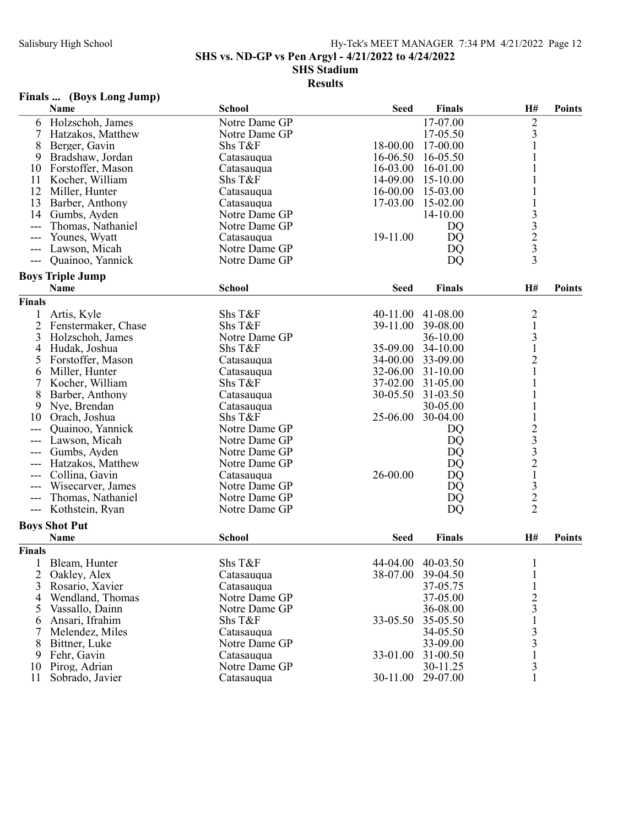SHS vs. ND-GP vs Pen Argyl - 4/21/2022 to 4/24/2022

#### SHS Stadium

### Results

## Finals ... (Boys Long Jump)

| $\overline{c}$<br>17-07.00<br>Notre Dame GP<br>Holzschoh, James<br>6<br>3<br>7<br>Hatzakos, Matthew<br>Notre Dame GP<br>17-05.50<br>$\mathbf{1}$<br>8<br>Shs T&F<br>18-00.00<br>17-00.00<br>Berger, Gavin<br>9<br>Bradshaw, Jordan<br>16-06.50<br>16-05.50<br>Catasauqua<br>Forstoffer, Mason<br>16-03.00<br>16-01.00<br>10<br>Catasauqua<br>Shs T&F<br>14-09.00<br>15-10.00<br>11<br>Kocher, William<br>12<br>15-03.00<br>Miller, Hunter<br>16-00.00<br>Catasauqua<br>13<br>17-03.00<br>15-02.00<br>$\mathbf{1}$<br>Barber, Anthony<br>Catasauqua<br>$\begin{array}{c} 3 \\ 3 \\ 2 \\ 3 \\ 3 \end{array}$<br>14<br>Gumbs, Ayden<br>14-10.00<br>Notre Dame GP<br>Thomas, Nathaniel<br>Notre Dame GP<br>DQ<br>---<br>19-11.00<br>Younes, Wyatt<br>DQ<br>Catasauqua<br>$---$<br>Lawson, Micah<br>Notre Dame GP<br>DQ<br>---<br>Notre Dame GP<br>DQ<br>Quainoo, Yannick<br>$---$<br><b>Boys Triple Jump</b><br><b>School</b><br>Name<br><b>Seed</b><br><b>Finals</b><br>H#<br><b>Points</b><br><b>Finals</b><br>$\frac{2}{1}$<br>Shs T&F<br>40-11.00<br>41-08.00<br>Artis, Kyle<br>$\overline{c}$<br>Shs T&F<br>39-11.00<br>39-08.00<br>Fenstermaker, Chase<br>$\frac{3}{1}$<br>3<br>Notre Dame GP<br>36-10.00<br>Holzschoh, James<br>Shs T&F<br>35-09.00<br>34-10.00<br>4<br>Hudak, Joshua<br>$\overline{c}$<br>5<br>Forstoffer, Mason<br>34-00.00<br>33-09.00<br>Catasauqua<br>$\mathbf{1}$<br>32-06.00<br>Miller, Hunter<br>31-10.00<br>6<br>Catasauqua<br>$\mathbf 1$<br>7<br>Shs T&F<br>37-02.00<br>31-05.00<br>Kocher, William<br>8<br>$\mathbf{1}$<br>30-05.50<br>31-03.50<br>Barber, Anthony<br>Catasauqua<br>$\mathbf{1}$<br>9<br>Nye, Brendan<br>30-05.00<br>Catasauqua<br>$\mathbf 1$<br>25-06.00<br>Shs T&F<br>30-04.00<br>Orach, Joshua<br>10<br>23321322<br>Quainoo, Yannick<br>Notre Dame GP<br>DQ<br>---<br>Notre Dame GP<br>Lawson, Micah<br>DQ<br><b>DQ</b><br>Gumbs, Ayden<br>Notre Dame GP<br>Hatzakos, Matthew<br>Notre Dame GP<br>DQ<br>---<br>26-00.00<br>DQ<br>Collina, Gavin<br>Catasauqua<br>---<br>Notre Dame GP<br>Wisecarver, James<br>DQ<br>---<br>Thomas, Nathaniel<br>Notre Dame GP<br>DQ<br>$---$<br>Notre Dame GP<br><b>DQ</b><br>Kothstein, Ryan<br>$---$<br><b>Boys Shot Put</b><br><b>School</b><br><b>Finals</b><br>H#<br>Name<br><b>Seed</b><br><b>Points</b><br><b>Finals</b><br>Shs T&F<br>40-03.50<br>Bleam, Hunter<br>44-04.00<br>$\mathbf{1}$<br>$\overline{2}$<br>Oakley, Alex<br>38-07.00<br>39-04.50<br>Catasauqua<br>3<br>37-05.75<br>Rosario, Xavier<br>Catasauqua<br>$\begin{array}{c} 2 \\ 3 \\ 1 \end{array}$<br>Notre Dame GP<br>Wendland, Thomas<br>37-05.00<br>4<br>Vassallo, Dainn<br>Notre Dame GP<br>36-08.00<br>5<br>Ansari, Ifrahim<br>Shs T&F<br>33-05.50<br>35-05.50<br>6<br>$\frac{3}{3}$<br>7<br>Melendez, Miles<br>Catasauqua<br>34-05.50<br>Bittner, Luke<br>Notre Dame GP<br>33-09.00<br>8<br>$\mathbf 1$<br>Fehr, Gavin<br>31-00.50<br>9<br>Catasauqua<br>33-01.00<br>3<br>Pirog, Adrian<br>Notre Dame GP<br>30-11.25<br>10<br>30-11.00 |    | Name            | <b>School</b> | <b>Seed</b> | <b>Finals</b> | H# | <b>Points</b> |
|----------------------------------------------------------------------------------------------------------------------------------------------------------------------------------------------------------------------------------------------------------------------------------------------------------------------------------------------------------------------------------------------------------------------------------------------------------------------------------------------------------------------------------------------------------------------------------------------------------------------------------------------------------------------------------------------------------------------------------------------------------------------------------------------------------------------------------------------------------------------------------------------------------------------------------------------------------------------------------------------------------------------------------------------------------------------------------------------------------------------------------------------------------------------------------------------------------------------------------------------------------------------------------------------------------------------------------------------------------------------------------------------------------------------------------------------------------------------------------------------------------------------------------------------------------------------------------------------------------------------------------------------------------------------------------------------------------------------------------------------------------------------------------------------------------------------------------------------------------------------------------------------------------------------------------------------------------------------------------------------------------------------------------------------------------------------------------------------------------------------------------------------------------------------------------------------------------------------------------------------------------------------------------------------------------------------------------------------------------------------------------------------------------------------------------------------------------------------------------------------------------------------------------------------------------------------------------------------------------------------------------------------------------------------------------------------------------------------------------------------------------------------------------------------------------------------------------------------------------------------------------------------------------------------------------------------------------------------------------------------------------|----|-----------------|---------------|-------------|---------------|----|---------------|
|                                                                                                                                                                                                                                                                                                                                                                                                                                                                                                                                                                                                                                                                                                                                                                                                                                                                                                                                                                                                                                                                                                                                                                                                                                                                                                                                                                                                                                                                                                                                                                                                                                                                                                                                                                                                                                                                                                                                                                                                                                                                                                                                                                                                                                                                                                                                                                                                                                                                                                                                                                                                                                                                                                                                                                                                                                                                                                                                                                                                          |    |                 |               |             |               |    |               |
|                                                                                                                                                                                                                                                                                                                                                                                                                                                                                                                                                                                                                                                                                                                                                                                                                                                                                                                                                                                                                                                                                                                                                                                                                                                                                                                                                                                                                                                                                                                                                                                                                                                                                                                                                                                                                                                                                                                                                                                                                                                                                                                                                                                                                                                                                                                                                                                                                                                                                                                                                                                                                                                                                                                                                                                                                                                                                                                                                                                                          |    |                 |               |             |               |    |               |
|                                                                                                                                                                                                                                                                                                                                                                                                                                                                                                                                                                                                                                                                                                                                                                                                                                                                                                                                                                                                                                                                                                                                                                                                                                                                                                                                                                                                                                                                                                                                                                                                                                                                                                                                                                                                                                                                                                                                                                                                                                                                                                                                                                                                                                                                                                                                                                                                                                                                                                                                                                                                                                                                                                                                                                                                                                                                                                                                                                                                          |    |                 |               |             |               |    |               |
|                                                                                                                                                                                                                                                                                                                                                                                                                                                                                                                                                                                                                                                                                                                                                                                                                                                                                                                                                                                                                                                                                                                                                                                                                                                                                                                                                                                                                                                                                                                                                                                                                                                                                                                                                                                                                                                                                                                                                                                                                                                                                                                                                                                                                                                                                                                                                                                                                                                                                                                                                                                                                                                                                                                                                                                                                                                                                                                                                                                                          |    |                 |               |             |               |    |               |
|                                                                                                                                                                                                                                                                                                                                                                                                                                                                                                                                                                                                                                                                                                                                                                                                                                                                                                                                                                                                                                                                                                                                                                                                                                                                                                                                                                                                                                                                                                                                                                                                                                                                                                                                                                                                                                                                                                                                                                                                                                                                                                                                                                                                                                                                                                                                                                                                                                                                                                                                                                                                                                                                                                                                                                                                                                                                                                                                                                                                          |    |                 |               |             |               |    |               |
|                                                                                                                                                                                                                                                                                                                                                                                                                                                                                                                                                                                                                                                                                                                                                                                                                                                                                                                                                                                                                                                                                                                                                                                                                                                                                                                                                                                                                                                                                                                                                                                                                                                                                                                                                                                                                                                                                                                                                                                                                                                                                                                                                                                                                                                                                                                                                                                                                                                                                                                                                                                                                                                                                                                                                                                                                                                                                                                                                                                                          |    |                 |               |             |               |    |               |
|                                                                                                                                                                                                                                                                                                                                                                                                                                                                                                                                                                                                                                                                                                                                                                                                                                                                                                                                                                                                                                                                                                                                                                                                                                                                                                                                                                                                                                                                                                                                                                                                                                                                                                                                                                                                                                                                                                                                                                                                                                                                                                                                                                                                                                                                                                                                                                                                                                                                                                                                                                                                                                                                                                                                                                                                                                                                                                                                                                                                          |    |                 |               |             |               |    |               |
|                                                                                                                                                                                                                                                                                                                                                                                                                                                                                                                                                                                                                                                                                                                                                                                                                                                                                                                                                                                                                                                                                                                                                                                                                                                                                                                                                                                                                                                                                                                                                                                                                                                                                                                                                                                                                                                                                                                                                                                                                                                                                                                                                                                                                                                                                                                                                                                                                                                                                                                                                                                                                                                                                                                                                                                                                                                                                                                                                                                                          |    |                 |               |             |               |    |               |
|                                                                                                                                                                                                                                                                                                                                                                                                                                                                                                                                                                                                                                                                                                                                                                                                                                                                                                                                                                                                                                                                                                                                                                                                                                                                                                                                                                                                                                                                                                                                                                                                                                                                                                                                                                                                                                                                                                                                                                                                                                                                                                                                                                                                                                                                                                                                                                                                                                                                                                                                                                                                                                                                                                                                                                                                                                                                                                                                                                                                          |    |                 |               |             |               |    |               |
|                                                                                                                                                                                                                                                                                                                                                                                                                                                                                                                                                                                                                                                                                                                                                                                                                                                                                                                                                                                                                                                                                                                                                                                                                                                                                                                                                                                                                                                                                                                                                                                                                                                                                                                                                                                                                                                                                                                                                                                                                                                                                                                                                                                                                                                                                                                                                                                                                                                                                                                                                                                                                                                                                                                                                                                                                                                                                                                                                                                                          |    |                 |               |             |               |    |               |
|                                                                                                                                                                                                                                                                                                                                                                                                                                                                                                                                                                                                                                                                                                                                                                                                                                                                                                                                                                                                                                                                                                                                                                                                                                                                                                                                                                                                                                                                                                                                                                                                                                                                                                                                                                                                                                                                                                                                                                                                                                                                                                                                                                                                                                                                                                                                                                                                                                                                                                                                                                                                                                                                                                                                                                                                                                                                                                                                                                                                          |    |                 |               |             |               |    |               |
|                                                                                                                                                                                                                                                                                                                                                                                                                                                                                                                                                                                                                                                                                                                                                                                                                                                                                                                                                                                                                                                                                                                                                                                                                                                                                                                                                                                                                                                                                                                                                                                                                                                                                                                                                                                                                                                                                                                                                                                                                                                                                                                                                                                                                                                                                                                                                                                                                                                                                                                                                                                                                                                                                                                                                                                                                                                                                                                                                                                                          |    |                 |               |             |               |    |               |
|                                                                                                                                                                                                                                                                                                                                                                                                                                                                                                                                                                                                                                                                                                                                                                                                                                                                                                                                                                                                                                                                                                                                                                                                                                                                                                                                                                                                                                                                                                                                                                                                                                                                                                                                                                                                                                                                                                                                                                                                                                                                                                                                                                                                                                                                                                                                                                                                                                                                                                                                                                                                                                                                                                                                                                                                                                                                                                                                                                                                          |    |                 |               |             |               |    |               |
|                                                                                                                                                                                                                                                                                                                                                                                                                                                                                                                                                                                                                                                                                                                                                                                                                                                                                                                                                                                                                                                                                                                                                                                                                                                                                                                                                                                                                                                                                                                                                                                                                                                                                                                                                                                                                                                                                                                                                                                                                                                                                                                                                                                                                                                                                                                                                                                                                                                                                                                                                                                                                                                                                                                                                                                                                                                                                                                                                                                                          |    |                 |               |             |               |    |               |
|                                                                                                                                                                                                                                                                                                                                                                                                                                                                                                                                                                                                                                                                                                                                                                                                                                                                                                                                                                                                                                                                                                                                                                                                                                                                                                                                                                                                                                                                                                                                                                                                                                                                                                                                                                                                                                                                                                                                                                                                                                                                                                                                                                                                                                                                                                                                                                                                                                                                                                                                                                                                                                                                                                                                                                                                                                                                                                                                                                                                          |    |                 |               |             |               |    |               |
|                                                                                                                                                                                                                                                                                                                                                                                                                                                                                                                                                                                                                                                                                                                                                                                                                                                                                                                                                                                                                                                                                                                                                                                                                                                                                                                                                                                                                                                                                                                                                                                                                                                                                                                                                                                                                                                                                                                                                                                                                                                                                                                                                                                                                                                                                                                                                                                                                                                                                                                                                                                                                                                                                                                                                                                                                                                                                                                                                                                                          |    |                 |               |             |               |    |               |
|                                                                                                                                                                                                                                                                                                                                                                                                                                                                                                                                                                                                                                                                                                                                                                                                                                                                                                                                                                                                                                                                                                                                                                                                                                                                                                                                                                                                                                                                                                                                                                                                                                                                                                                                                                                                                                                                                                                                                                                                                                                                                                                                                                                                                                                                                                                                                                                                                                                                                                                                                                                                                                                                                                                                                                                                                                                                                                                                                                                                          |    |                 |               |             |               |    |               |
|                                                                                                                                                                                                                                                                                                                                                                                                                                                                                                                                                                                                                                                                                                                                                                                                                                                                                                                                                                                                                                                                                                                                                                                                                                                                                                                                                                                                                                                                                                                                                                                                                                                                                                                                                                                                                                                                                                                                                                                                                                                                                                                                                                                                                                                                                                                                                                                                                                                                                                                                                                                                                                                                                                                                                                                                                                                                                                                                                                                                          |    |                 |               |             |               |    |               |
|                                                                                                                                                                                                                                                                                                                                                                                                                                                                                                                                                                                                                                                                                                                                                                                                                                                                                                                                                                                                                                                                                                                                                                                                                                                                                                                                                                                                                                                                                                                                                                                                                                                                                                                                                                                                                                                                                                                                                                                                                                                                                                                                                                                                                                                                                                                                                                                                                                                                                                                                                                                                                                                                                                                                                                                                                                                                                                                                                                                                          |    |                 |               |             |               |    |               |
|                                                                                                                                                                                                                                                                                                                                                                                                                                                                                                                                                                                                                                                                                                                                                                                                                                                                                                                                                                                                                                                                                                                                                                                                                                                                                                                                                                                                                                                                                                                                                                                                                                                                                                                                                                                                                                                                                                                                                                                                                                                                                                                                                                                                                                                                                                                                                                                                                                                                                                                                                                                                                                                                                                                                                                                                                                                                                                                                                                                                          |    |                 |               |             |               |    |               |
|                                                                                                                                                                                                                                                                                                                                                                                                                                                                                                                                                                                                                                                                                                                                                                                                                                                                                                                                                                                                                                                                                                                                                                                                                                                                                                                                                                                                                                                                                                                                                                                                                                                                                                                                                                                                                                                                                                                                                                                                                                                                                                                                                                                                                                                                                                                                                                                                                                                                                                                                                                                                                                                                                                                                                                                                                                                                                                                                                                                                          |    |                 |               |             |               |    |               |
|                                                                                                                                                                                                                                                                                                                                                                                                                                                                                                                                                                                                                                                                                                                                                                                                                                                                                                                                                                                                                                                                                                                                                                                                                                                                                                                                                                                                                                                                                                                                                                                                                                                                                                                                                                                                                                                                                                                                                                                                                                                                                                                                                                                                                                                                                                                                                                                                                                                                                                                                                                                                                                                                                                                                                                                                                                                                                                                                                                                                          |    |                 |               |             |               |    |               |
|                                                                                                                                                                                                                                                                                                                                                                                                                                                                                                                                                                                                                                                                                                                                                                                                                                                                                                                                                                                                                                                                                                                                                                                                                                                                                                                                                                                                                                                                                                                                                                                                                                                                                                                                                                                                                                                                                                                                                                                                                                                                                                                                                                                                                                                                                                                                                                                                                                                                                                                                                                                                                                                                                                                                                                                                                                                                                                                                                                                                          |    |                 |               |             |               |    |               |
|                                                                                                                                                                                                                                                                                                                                                                                                                                                                                                                                                                                                                                                                                                                                                                                                                                                                                                                                                                                                                                                                                                                                                                                                                                                                                                                                                                                                                                                                                                                                                                                                                                                                                                                                                                                                                                                                                                                                                                                                                                                                                                                                                                                                                                                                                                                                                                                                                                                                                                                                                                                                                                                                                                                                                                                                                                                                                                                                                                                                          |    |                 |               |             |               |    |               |
|                                                                                                                                                                                                                                                                                                                                                                                                                                                                                                                                                                                                                                                                                                                                                                                                                                                                                                                                                                                                                                                                                                                                                                                                                                                                                                                                                                                                                                                                                                                                                                                                                                                                                                                                                                                                                                                                                                                                                                                                                                                                                                                                                                                                                                                                                                                                                                                                                                                                                                                                                                                                                                                                                                                                                                                                                                                                                                                                                                                                          |    |                 |               |             |               |    |               |
|                                                                                                                                                                                                                                                                                                                                                                                                                                                                                                                                                                                                                                                                                                                                                                                                                                                                                                                                                                                                                                                                                                                                                                                                                                                                                                                                                                                                                                                                                                                                                                                                                                                                                                                                                                                                                                                                                                                                                                                                                                                                                                                                                                                                                                                                                                                                                                                                                                                                                                                                                                                                                                                                                                                                                                                                                                                                                                                                                                                                          |    |                 |               |             |               |    |               |
|                                                                                                                                                                                                                                                                                                                                                                                                                                                                                                                                                                                                                                                                                                                                                                                                                                                                                                                                                                                                                                                                                                                                                                                                                                                                                                                                                                                                                                                                                                                                                                                                                                                                                                                                                                                                                                                                                                                                                                                                                                                                                                                                                                                                                                                                                                                                                                                                                                                                                                                                                                                                                                                                                                                                                                                                                                                                                                                                                                                                          |    |                 |               |             |               |    |               |
|                                                                                                                                                                                                                                                                                                                                                                                                                                                                                                                                                                                                                                                                                                                                                                                                                                                                                                                                                                                                                                                                                                                                                                                                                                                                                                                                                                                                                                                                                                                                                                                                                                                                                                                                                                                                                                                                                                                                                                                                                                                                                                                                                                                                                                                                                                                                                                                                                                                                                                                                                                                                                                                                                                                                                                                                                                                                                                                                                                                                          |    |                 |               |             |               |    |               |
|                                                                                                                                                                                                                                                                                                                                                                                                                                                                                                                                                                                                                                                                                                                                                                                                                                                                                                                                                                                                                                                                                                                                                                                                                                                                                                                                                                                                                                                                                                                                                                                                                                                                                                                                                                                                                                                                                                                                                                                                                                                                                                                                                                                                                                                                                                                                                                                                                                                                                                                                                                                                                                                                                                                                                                                                                                                                                                                                                                                                          |    |                 |               |             |               |    |               |
|                                                                                                                                                                                                                                                                                                                                                                                                                                                                                                                                                                                                                                                                                                                                                                                                                                                                                                                                                                                                                                                                                                                                                                                                                                                                                                                                                                                                                                                                                                                                                                                                                                                                                                                                                                                                                                                                                                                                                                                                                                                                                                                                                                                                                                                                                                                                                                                                                                                                                                                                                                                                                                                                                                                                                                                                                                                                                                                                                                                                          |    |                 |               |             |               |    |               |
|                                                                                                                                                                                                                                                                                                                                                                                                                                                                                                                                                                                                                                                                                                                                                                                                                                                                                                                                                                                                                                                                                                                                                                                                                                                                                                                                                                                                                                                                                                                                                                                                                                                                                                                                                                                                                                                                                                                                                                                                                                                                                                                                                                                                                                                                                                                                                                                                                                                                                                                                                                                                                                                                                                                                                                                                                                                                                                                                                                                                          |    |                 |               |             |               |    |               |
|                                                                                                                                                                                                                                                                                                                                                                                                                                                                                                                                                                                                                                                                                                                                                                                                                                                                                                                                                                                                                                                                                                                                                                                                                                                                                                                                                                                                                                                                                                                                                                                                                                                                                                                                                                                                                                                                                                                                                                                                                                                                                                                                                                                                                                                                                                                                                                                                                                                                                                                                                                                                                                                                                                                                                                                                                                                                                                                                                                                                          |    |                 |               |             |               |    |               |
|                                                                                                                                                                                                                                                                                                                                                                                                                                                                                                                                                                                                                                                                                                                                                                                                                                                                                                                                                                                                                                                                                                                                                                                                                                                                                                                                                                                                                                                                                                                                                                                                                                                                                                                                                                                                                                                                                                                                                                                                                                                                                                                                                                                                                                                                                                                                                                                                                                                                                                                                                                                                                                                                                                                                                                                                                                                                                                                                                                                                          |    |                 |               |             |               |    |               |
|                                                                                                                                                                                                                                                                                                                                                                                                                                                                                                                                                                                                                                                                                                                                                                                                                                                                                                                                                                                                                                                                                                                                                                                                                                                                                                                                                                                                                                                                                                                                                                                                                                                                                                                                                                                                                                                                                                                                                                                                                                                                                                                                                                                                                                                                                                                                                                                                                                                                                                                                                                                                                                                                                                                                                                                                                                                                                                                                                                                                          |    |                 |               |             |               |    |               |
|                                                                                                                                                                                                                                                                                                                                                                                                                                                                                                                                                                                                                                                                                                                                                                                                                                                                                                                                                                                                                                                                                                                                                                                                                                                                                                                                                                                                                                                                                                                                                                                                                                                                                                                                                                                                                                                                                                                                                                                                                                                                                                                                                                                                                                                                                                                                                                                                                                                                                                                                                                                                                                                                                                                                                                                                                                                                                                                                                                                                          |    |                 |               |             |               |    |               |
|                                                                                                                                                                                                                                                                                                                                                                                                                                                                                                                                                                                                                                                                                                                                                                                                                                                                                                                                                                                                                                                                                                                                                                                                                                                                                                                                                                                                                                                                                                                                                                                                                                                                                                                                                                                                                                                                                                                                                                                                                                                                                                                                                                                                                                                                                                                                                                                                                                                                                                                                                                                                                                                                                                                                                                                                                                                                                                                                                                                                          |    |                 |               |             |               |    |               |
|                                                                                                                                                                                                                                                                                                                                                                                                                                                                                                                                                                                                                                                                                                                                                                                                                                                                                                                                                                                                                                                                                                                                                                                                                                                                                                                                                                                                                                                                                                                                                                                                                                                                                                                                                                                                                                                                                                                                                                                                                                                                                                                                                                                                                                                                                                                                                                                                                                                                                                                                                                                                                                                                                                                                                                                                                                                                                                                                                                                                          |    |                 |               |             |               |    |               |
|                                                                                                                                                                                                                                                                                                                                                                                                                                                                                                                                                                                                                                                                                                                                                                                                                                                                                                                                                                                                                                                                                                                                                                                                                                                                                                                                                                                                                                                                                                                                                                                                                                                                                                                                                                                                                                                                                                                                                                                                                                                                                                                                                                                                                                                                                                                                                                                                                                                                                                                                                                                                                                                                                                                                                                                                                                                                                                                                                                                                          |    |                 |               |             |               |    |               |
|                                                                                                                                                                                                                                                                                                                                                                                                                                                                                                                                                                                                                                                                                                                                                                                                                                                                                                                                                                                                                                                                                                                                                                                                                                                                                                                                                                                                                                                                                                                                                                                                                                                                                                                                                                                                                                                                                                                                                                                                                                                                                                                                                                                                                                                                                                                                                                                                                                                                                                                                                                                                                                                                                                                                                                                                                                                                                                                                                                                                          |    |                 |               |             |               |    |               |
|                                                                                                                                                                                                                                                                                                                                                                                                                                                                                                                                                                                                                                                                                                                                                                                                                                                                                                                                                                                                                                                                                                                                                                                                                                                                                                                                                                                                                                                                                                                                                                                                                                                                                                                                                                                                                                                                                                                                                                                                                                                                                                                                                                                                                                                                                                                                                                                                                                                                                                                                                                                                                                                                                                                                                                                                                                                                                                                                                                                                          |    |                 |               |             |               |    |               |
|                                                                                                                                                                                                                                                                                                                                                                                                                                                                                                                                                                                                                                                                                                                                                                                                                                                                                                                                                                                                                                                                                                                                                                                                                                                                                                                                                                                                                                                                                                                                                                                                                                                                                                                                                                                                                                                                                                                                                                                                                                                                                                                                                                                                                                                                                                                                                                                                                                                                                                                                                                                                                                                                                                                                                                                                                                                                                                                                                                                                          |    |                 |               |             |               |    |               |
|                                                                                                                                                                                                                                                                                                                                                                                                                                                                                                                                                                                                                                                                                                                                                                                                                                                                                                                                                                                                                                                                                                                                                                                                                                                                                                                                                                                                                                                                                                                                                                                                                                                                                                                                                                                                                                                                                                                                                                                                                                                                                                                                                                                                                                                                                                                                                                                                                                                                                                                                                                                                                                                                                                                                                                                                                                                                                                                                                                                                          |    |                 |               |             |               |    |               |
|                                                                                                                                                                                                                                                                                                                                                                                                                                                                                                                                                                                                                                                                                                                                                                                                                                                                                                                                                                                                                                                                                                                                                                                                                                                                                                                                                                                                                                                                                                                                                                                                                                                                                                                                                                                                                                                                                                                                                                                                                                                                                                                                                                                                                                                                                                                                                                                                                                                                                                                                                                                                                                                                                                                                                                                                                                                                                                                                                                                                          |    |                 |               |             |               |    |               |
|                                                                                                                                                                                                                                                                                                                                                                                                                                                                                                                                                                                                                                                                                                                                                                                                                                                                                                                                                                                                                                                                                                                                                                                                                                                                                                                                                                                                                                                                                                                                                                                                                                                                                                                                                                                                                                                                                                                                                                                                                                                                                                                                                                                                                                                                                                                                                                                                                                                                                                                                                                                                                                                                                                                                                                                                                                                                                                                                                                                                          |    |                 |               |             |               |    |               |
|                                                                                                                                                                                                                                                                                                                                                                                                                                                                                                                                                                                                                                                                                                                                                                                                                                                                                                                                                                                                                                                                                                                                                                                                                                                                                                                                                                                                                                                                                                                                                                                                                                                                                                                                                                                                                                                                                                                                                                                                                                                                                                                                                                                                                                                                                                                                                                                                                                                                                                                                                                                                                                                                                                                                                                                                                                                                                                                                                                                                          |    |                 |               |             |               |    |               |
|                                                                                                                                                                                                                                                                                                                                                                                                                                                                                                                                                                                                                                                                                                                                                                                                                                                                                                                                                                                                                                                                                                                                                                                                                                                                                                                                                                                                                                                                                                                                                                                                                                                                                                                                                                                                                                                                                                                                                                                                                                                                                                                                                                                                                                                                                                                                                                                                                                                                                                                                                                                                                                                                                                                                                                                                                                                                                                                                                                                                          |    |                 |               |             |               |    |               |
|                                                                                                                                                                                                                                                                                                                                                                                                                                                                                                                                                                                                                                                                                                                                                                                                                                                                                                                                                                                                                                                                                                                                                                                                                                                                                                                                                                                                                                                                                                                                                                                                                                                                                                                                                                                                                                                                                                                                                                                                                                                                                                                                                                                                                                                                                                                                                                                                                                                                                                                                                                                                                                                                                                                                                                                                                                                                                                                                                                                                          |    |                 |               |             |               |    |               |
|                                                                                                                                                                                                                                                                                                                                                                                                                                                                                                                                                                                                                                                                                                                                                                                                                                                                                                                                                                                                                                                                                                                                                                                                                                                                                                                                                                                                                                                                                                                                                                                                                                                                                                                                                                                                                                                                                                                                                                                                                                                                                                                                                                                                                                                                                                                                                                                                                                                                                                                                                                                                                                                                                                                                                                                                                                                                                                                                                                                                          |    |                 |               |             |               |    |               |
|                                                                                                                                                                                                                                                                                                                                                                                                                                                                                                                                                                                                                                                                                                                                                                                                                                                                                                                                                                                                                                                                                                                                                                                                                                                                                                                                                                                                                                                                                                                                                                                                                                                                                                                                                                                                                                                                                                                                                                                                                                                                                                                                                                                                                                                                                                                                                                                                                                                                                                                                                                                                                                                                                                                                                                                                                                                                                                                                                                                                          | 11 | Sobrado, Javier | Catasauqua    |             | 29-07.00      | 1  |               |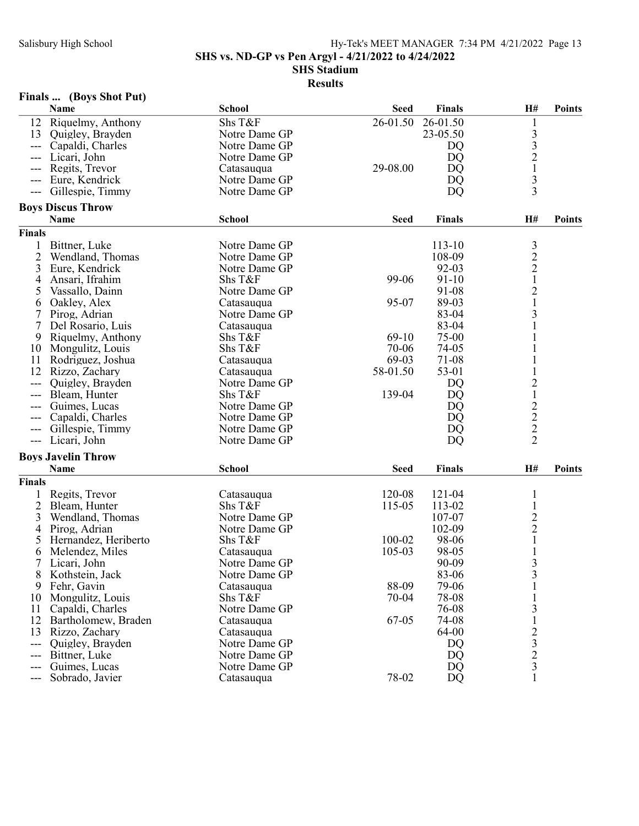SHS vs. ND-GP vs Pen Argyl - 4/21/2022 to 4/24/2022

SHS Stadium

|                | Name                      | <b>School</b>         | <b>Seed</b> | <b>Finals</b>  | H#                                              | <b>Points</b> |
|----------------|---------------------------|-----------------------|-------------|----------------|-------------------------------------------------|---------------|
|                | 12 Riquelmy, Anthony      | Shs T&F               | 26-01.50    | 26-01.50       | 1                                               |               |
| 13             | Quigley, Brayden          | Notre Dame GP         |             | 23-05.50       |                                                 |               |
| ---            | Capaldi, Charles          | Notre Dame GP         |             | DQ             | $\frac{3}{3}$                                   |               |
|                | Licari, John              | Notre Dame GP         |             | DQ             | $\overline{c}$                                  |               |
| ---            | Regits, Trevor            | Catasauqua            | 29-08.00    | DQ             | $\mathbf 1$                                     |               |
|                | Eure, Kendrick            | Notre Dame GP         |             | DQ             |                                                 |               |
| ---            | Gillespie, Timmy          | Notre Dame GP         |             | DQ             | $\frac{3}{3}$                                   |               |
|                | <b>Boys Discus Throw</b>  |                       |             |                |                                                 |               |
|                | Name                      | <b>School</b>         | <b>Seed</b> | <b>Finals</b>  | H#                                              | <b>Points</b> |
| Finals         |                           |                       |             |                |                                                 |               |
|                | Bittner, Luke             | Notre Dame GP         |             | 113-10         | $\mathfrak{Z}$                                  |               |
| $\overline{2}$ | Wendland, Thomas          | Notre Dame GP         |             | 108-09         | $\overline{c}$                                  |               |
| 3              | Eure, Kendrick            | Notre Dame GP         |             | 92-03          | $\overline{c}$                                  |               |
| $\overline{4}$ | Ansari, Ifrahim           | Shs T&F               | 99-06       | $91 - 10$      | $\mathbf{1}$                                    |               |
| 5              | Vassallo, Dainn           | Notre Dame GP         |             | 91-08          | $\overline{c}$                                  |               |
| 6              | Oakley, Alex              | Catasauqua            | 95-07       | 89-03          | $\mathbf{1}$                                    |               |
| 7              | Pirog, Adrian             | Notre Dame GP         |             | 83-04          | 3                                               |               |
| 7              | Del Rosario, Luis         | Catasauqua            |             | 83-04          | $\mathbf{1}$                                    |               |
| 9              | Riquelmy, Anthony         | Shs T&F               | $69-10$     | 75-00          |                                                 |               |
| 10             | Mongulitz, Louis          | Shs T&F               | 70-06       | 74-05          |                                                 |               |
| 11             | Rodriguez, Joshua         | Catasauqua            | 69-03       | 71-08          |                                                 |               |
| 12             | Rizzo, Zachary            | Catasauqua            | 58-01.50    | 53-01          |                                                 |               |
|                | Quigley, Brayden          | Notre Dame GP         |             | DQ             |                                                 |               |
|                | Bleam, Hunter             | Shs T&F               | 139-04      | DQ             | $\frac{2}{1}$                                   |               |
| ---            | Guimes, Lucas             | Notre Dame GP         |             | DQ             |                                                 |               |
|                | Capaldi, Charles          | Notre Dame GP         |             | DQ             |                                                 |               |
| ---            | Gillespie, Timmy          | Notre Dame GP         |             | DQ             |                                                 |               |
| $---$          | Licari, John              | Notre Dame GP         |             | DQ             | $\begin{array}{c} 2 \\ 2 \\ 2 \end{array}$      |               |
|                | <b>Boys Javelin Throw</b> |                       |             |                |                                                 |               |
|                | Name                      | <b>School</b>         | <b>Seed</b> | <b>Finals</b>  | H#                                              | <b>Points</b> |
| Finals         |                           |                       |             |                |                                                 |               |
|                | Regits, Trevor            |                       | 120-08      | 121-04         |                                                 |               |
| $\overline{2}$ | Bleam, Hunter             | Catasauqua<br>Shs T&F | 115-05      | 113-02         | $\mathbf{1}$                                    |               |
| 3              | Wendland, Thomas          | Notre Dame GP         |             | 107-07         |                                                 |               |
|                |                           | Notre Dame GP         |             |                | $\overline{\mathbf{c}}$<br>$\overline{c}$       |               |
| 4              | Pirog, Adrian             |                       | 100-02      | 102-09         | $\mathbf{1}$                                    |               |
| 5              | Hernandez, Heriberto      | Shs T&F               |             | 98-06          |                                                 |               |
| 6              | Melendez, Miles           | Catasauqua            | 105-03      | 98-05<br>90-09 | $\mathbf{1}$                                    |               |
| 7              | Licari, John              | Notre Dame GP         |             |                | 3                                               |               |
| 8              | Kothstein, Jack           | Notre Dame GP         |             | 83-06          | 3                                               |               |
| 9              | Fehr, Gavin               | Catasauqua            | 88-09       | 79-06          |                                                 |               |
| 10             | Mongulitz, Louis          | Shs T&F               | $70 - 04$   | 78-08          |                                                 |               |
| 11             | Capaldi, Charles          | Notre Dame GP         |             | 76-08          | 3                                               |               |
| 12             | Bartholomew, Braden       | Catasauqua            | 67-05       | 74-08          | $\mathbf{1}$                                    |               |
| 13             | Rizzo, Zachary            | Catasauqua            |             | 64-00          |                                                 |               |
| $---$          | Quigley, Brayden          | Notre Dame GP         |             | <b>DQ</b>      | $\begin{array}{c} 2 \\ 3 \\ 2 \\ 3 \end{array}$ |               |
| ---            | Bittner, Luke             | Notre Dame GP         |             | DQ             |                                                 |               |
| ---            | Guimes, Lucas             | Notre Dame GP         |             | DQ             |                                                 |               |
| ---            | Sobrado, Javier           | Catasauqua            | 78-02       | DQ             |                                                 |               |